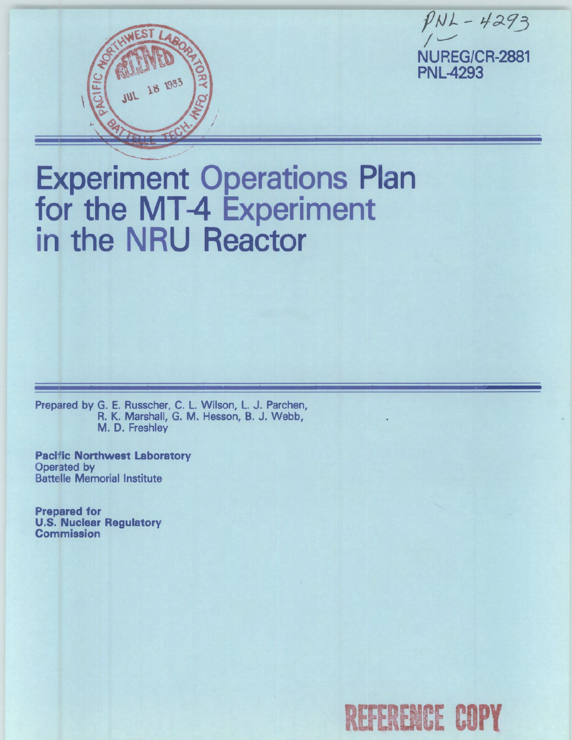



# Experiment Operations Plan for the MT-4 Experiment in the NRU Reactor

Prepared by G. E. Russcher, C. L. Wilson, L. J. Parchen, R. K. Marshall, G. M. Hesson, B. J. Webb, M. D. Freshley

Pacific Northwest Laboratory Operated by Battelle Memorial Institute

Prepared for U.S. Nuclear Regulatory Commission

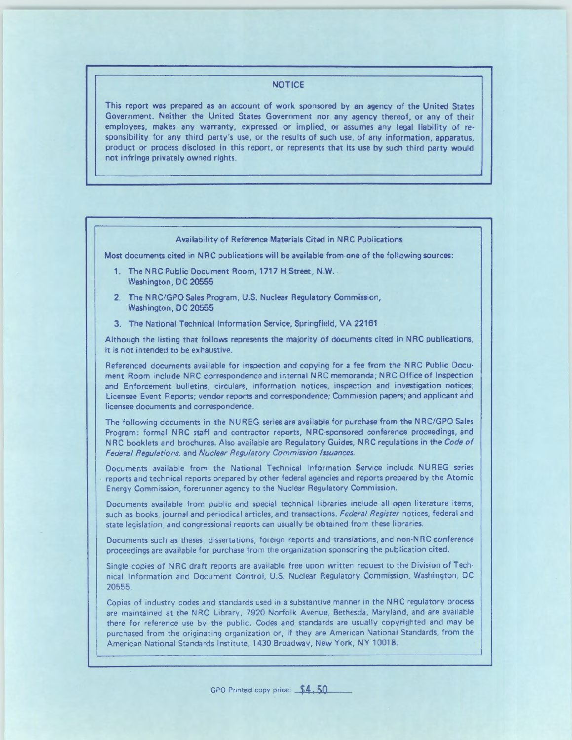#### **NOTICE**

This report was prepared as an account of work sponsored by an agency of the United States Government. Neither the United States Government nor any agency thereof, or any of their employees, makes any warranty, expressed or implied, or assumes any legal liability of responsibility for any third party's use, or the results of such use, of any information, apparatus, product or process disclosed in this report, or represents that its use by such third party would not infringe privately owned rights.

#### Availability of Reference Materials Cited in NRC Publications

Most documents cited in NRC publications will be available from-one of the following sources:

- 1. The NRC Public Document Room, 1717 H Street, N.W. Washington, DC 20555
- 2. The NRC/GPO Sales Program, U.S. Nuclear Regulatory Commission, Washington, DC 20555
- 3. The National Technical Information Service, Springfield, VA 22161

Although the listing that follows represents the majority of documents cited in NRC publications, it is not intended to be exhaustive.

Referenced documents available for inspection and copying for a fee from the NRC Public Document Room include NRC correspondence and ir.ternal NRC memoranda; NRC Office of Inspection and Enforcement bulletins, circulars, information notices, inspection and investigation notices; Licensee Event Reports; vendor reports and correspondence; Commission papers; and applicant and licensee documents and correspondence.

The following documents in the NUREG series are available for purchase from the NRC/GPO Sales Program: formal NRC staff and contractor reports, NRC-sponsored conference proceedings, and NRC booklets and brochures. Also available are Regulatory Guides, NRC regulations in the Code of Federal Regulations, and Nuclear Regulatory Commission Issuances.

Documents available from the National Technical Information Service include NUREG series reports and technical reports prepared by other federal agencies and reports prepared by the Atomic Energy Commission, forerunner agency to the Nuclear Regulatory Commission.

Documents available from public and special technical libraries include all open literature items, such as books, journal and periodical articles, and transactions. Federal Register notices, federal and state legislation, and congressional reports can usually be obtained from these libraries.

Documents such as theses, dissertations, foreign reports and translations, and non-NRC conference proceedings are available for purchase trom the organization sponsoring the publication cited.

Single copies of NRC draft reports are available free upon written request to the Division of Tech· nical Information and Document Control, U.S. Nuclear Regulatory Commission, Washington, DC 20555.

Copies of industry codes and standards used in a substantive manner in theN RC regulatory process are maintained at the NRC Library, 7920 Norfolk Avenue, Bethesda, Maryland, and are available there for reference use by the public. Codes and standards are usually copyrighted and may be purchased from the originating organization or, if they are American National Standards, from the American National Standards Institute. 1430 Broadway, New York, NY 10018.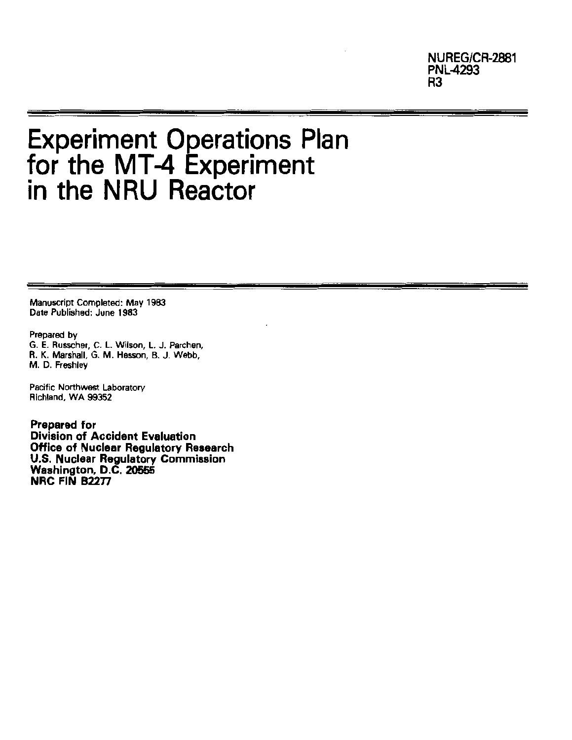NUREG/CR-2881 PNL-4293 R3

# **Experiment Operations Plan for the MT -4 Experiment in the NRU Reactor**

Manuscript Completed: May 1983 Date Published: June 1983

Prepared by G. E. Russcher, C. L. Wilson, L. J. Parchen, A. K. Marshall, G. M. Hesson, B. J. Webb, **M.** D. Freshley

Pacific Northwest Laboratory Richland, WA 99352

Prepared for Division of Accidant Evaluation Office of Nuclear Regulatory Research U.S. Nuclear Regulatory Commission Washington. D.C. 20555 NRC FIÑ B2277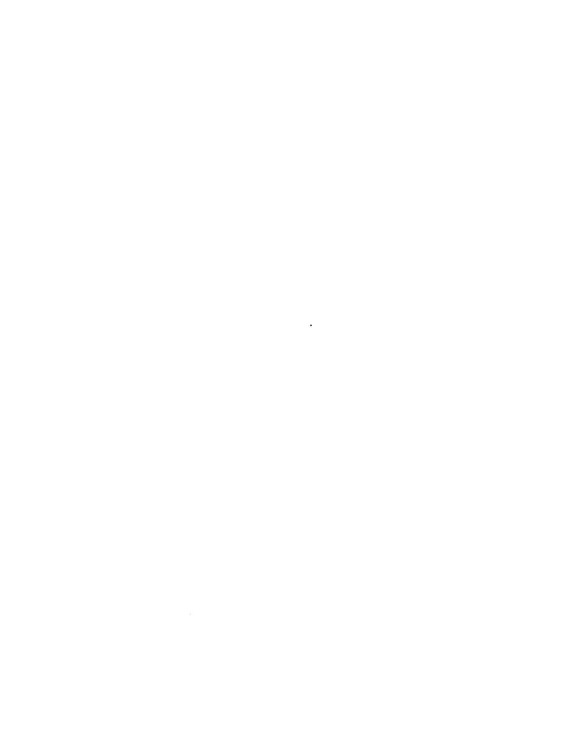$\mathcal{L}^{\text{max}}_{\text{max}}$  , where  $\mathcal{L}^{\text{max}}_{\text{max}}$  $\label{eq:2.1} \frac{1}{\sqrt{2}}\int_{\mathbb{R}^3}\frac{1}{\sqrt{2}}\left(\frac{1}{\sqrt{2}}\right)^2\frac{1}{\sqrt{2}}\left(\frac{1}{\sqrt{2}}\right)^2\frac{1}{\sqrt{2}}\left(\frac{1}{\sqrt{2}}\right)^2\frac{1}{\sqrt{2}}\left(\frac{1}{\sqrt{2}}\right)^2\frac{1}{\sqrt{2}}\left(\frac{1}{\sqrt{2}}\right)^2\frac{1}{\sqrt{2}}\frac{1}{\sqrt{2}}\frac{1}{\sqrt{2}}\frac{1}{\sqrt{2}}\frac{1}{\sqrt{2}}\frac{1}{\sqrt{2}}$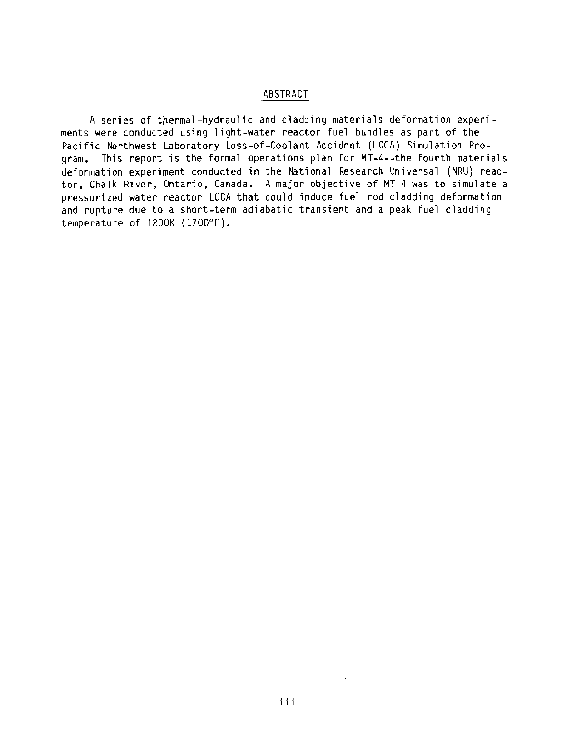#### ABSTRACT

A series of thermal-hydraulic and cladding materials deformation experiments were conducted using light-water reactor fuel bundles as part of the Pacific Northwest Laboratory loss-of-Coolant Accident (LOCA) Simulation Program. This report is the formal operations plan for MT-4--the fourth materials deformation experiment conducted in the National Research Universal (NRU} reactor, Chalk River, Ontario, Canada. A major objective of MT-4 was to simulate a pressurized water reactor LOCA that could induce fuel rod cladding deformation and rupture due to a short-term adiabatic transient and a peak fuel cladding temperature of 1200K (1700°F).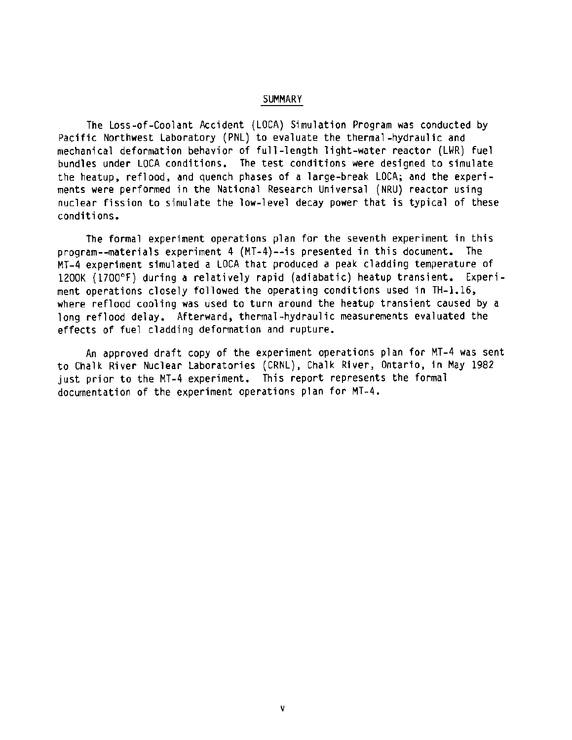#### **SUMMARY**

The Loss-of-Coolant Accident (LOCA) Simulation Program was conducted by Pacific Northwest Laboratory (PNL) to evaluate the thermal-hydraulic and mechanical deformation behavior of full-length light-water reactor {LWR) fuel bundles under LOCA conditions. The test conditions were designed to simulate the heatup, reflood, and quench phases of a large-break LOCA; and the experiments were performed in the National Research Universal (NRU) reactor using nuclear fission to simulate the low-level decay power that is typical of these conditions.

The formal experiment operations plan for the seventh experiment in this program--materials experiment 4 (MT-4)--is presented in this document. The MT-4 experiment simulated a LOCA that produced a peak cladding temperature of 1200K (1700°F) during a relatively rapid (adiabatic) heatup transient. Experiment operations closely followed the operating conditions used in TH-1.16, where reflood cooling was used to turn around the heatup transient caused by a long reflood delay. Afterward, thermal-hydraulic measurements evaluated the effects of fuel cladding deformation and rupture.

An approved draft copy of the experiment operations plan for MT-4 was sent to Chalk River Nuclear Laboratories (CRNL), Chalk River, Ontario, in May 1982 just prior to the MT-4 experiment. This report represents the formal documentation of the experiment operations plan for MT-4.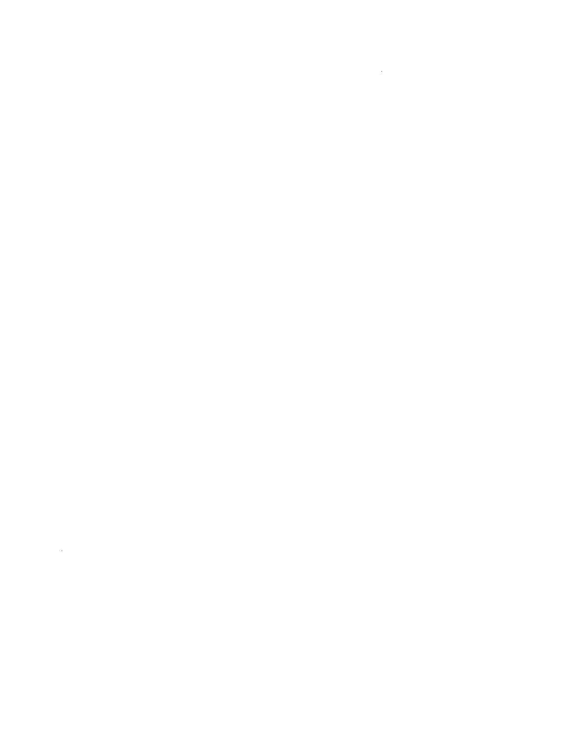$\label{eq:2.1} \frac{1}{\sqrt{2}}\int_{\mathbb{R}^3} \frac{1}{\sqrt{2}}\left(\frac{1}{\sqrt{2}}\right)^2\left(\frac{1}{\sqrt{2}}\right)^2\left(\frac{1}{\sqrt{2}}\right)^2\left(\frac{1}{\sqrt{2}}\right)^2.$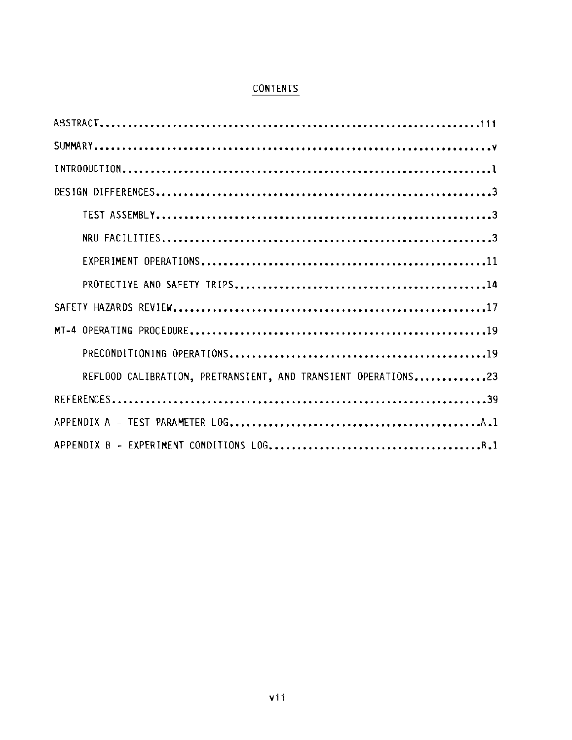# CONTENTS

| REFLOOD CALIBRATION, PRETRANSIENT, AND TRANSIENT OPERATIONS23 |
|---------------------------------------------------------------|
|                                                               |
|                                                               |
|                                                               |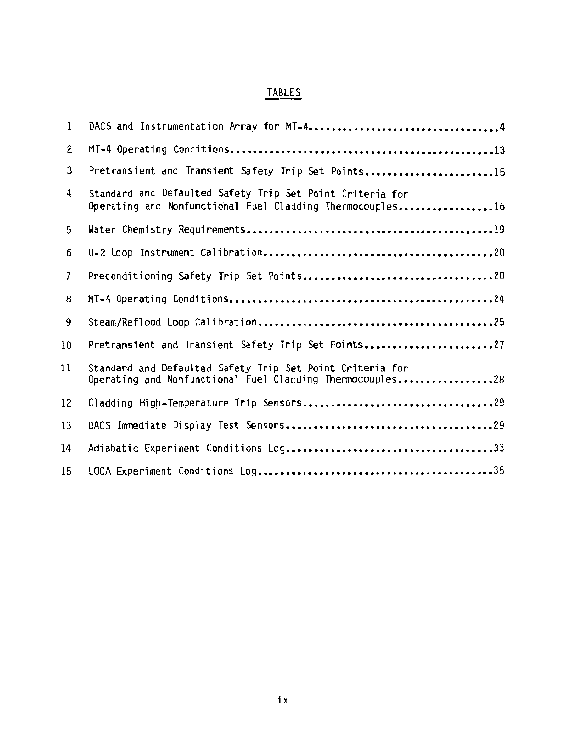# TABLES

| 1              |                                                                                                                        |  |
|----------------|------------------------------------------------------------------------------------------------------------------------|--|
| $\overline{c}$ |                                                                                                                        |  |
| 3              | Pretransient and Transient Safety Trip Set Points15                                                                    |  |
| 4              | Standard and Defaulted Safety Trip Set Point Criteria for<br>Operating and Nonfunctional Fuel Cladding Thermocouples16 |  |
| 5              |                                                                                                                        |  |
| 6              |                                                                                                                        |  |
| $\overline{7}$ |                                                                                                                        |  |
| 8              |                                                                                                                        |  |
| 9              |                                                                                                                        |  |
| 10             | Pretransient and Transient Safety Trip Set Points27                                                                    |  |
| 11             | Standard and Defaulted Safety Trip Set Point Criteria for<br>Operating and Nonfunctional Fuel Cladding Thermocouples28 |  |
| 12             |                                                                                                                        |  |
| 13             |                                                                                                                        |  |
| 14             |                                                                                                                        |  |
| 15             |                                                                                                                        |  |

 $\sim 10^{-1}$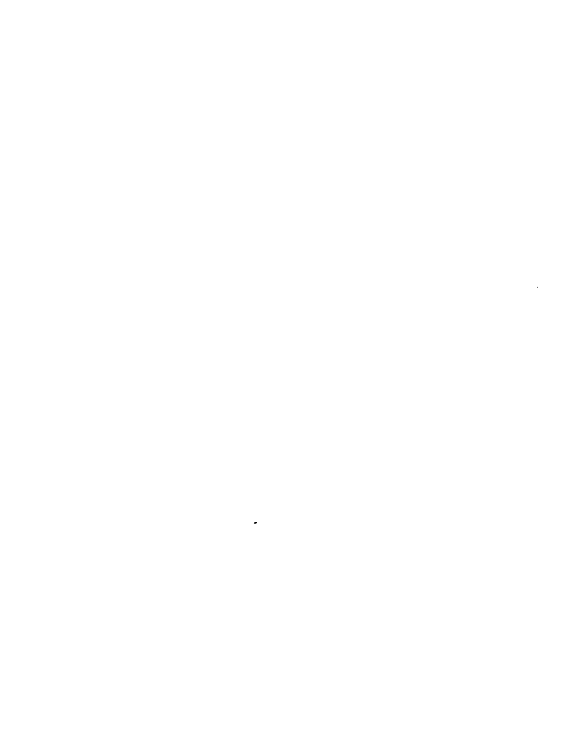$\sim 10^{-1}$  $\omega_{\rm{eff}}$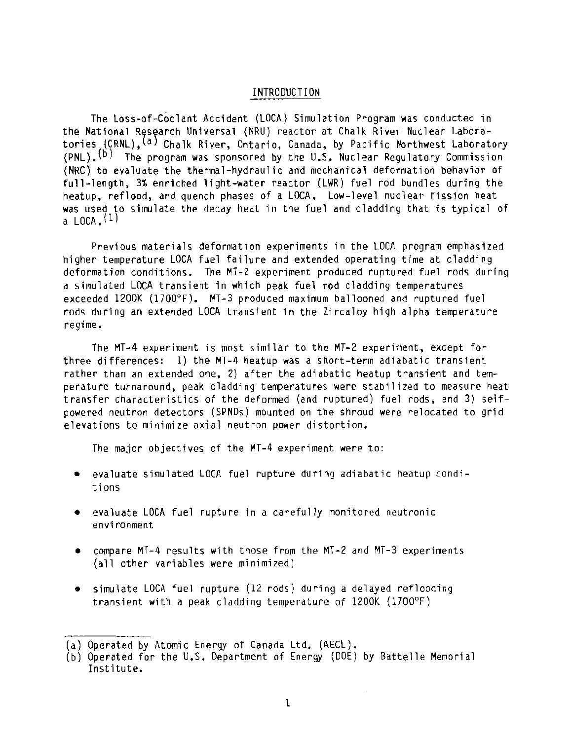#### INTRODUCTION

The Loss-of-Coolant Accident (LOCA) Simulation Program was conducted in the National Research Universal (NRU) reactor at Chalk River Nuclear Laboratories (CRNL), (a) Chalk River, Ontario, Canada, by Pacific Northwest Laboratory  $(PNL)$ ,  $(b)$  The program was sponsored by the U.S. Nuclear Regulatory Commission {NRC) to evaluate the thermal-hydraulic and mechanical deformation behavior of full-length, 3% enriched light-water reactor (LWR) fuel rod bundles during the heatup, reflood, and quench phases of a LOCA. Low-level nuclear fission heat was used to simulate the decay heat in the fuel and cladding that is typical of a  $LOCA.$  $(1)$ 

Previous materials deformation experiments in the LOCA program emphasized higher temperature LOCA fuel failure and extended operating time at cladding deformation conditions. The MT-2 experiment produced ruptured fuel rods during a simulated LOCA transient in which peak fuel rod cladding temperatures exceeded 1200K (1700°F). MT-3 produced maximum ballooned and ruptured fuel rods during an extended LOCA transient in the Zircaloy high alpha temperature regime.

The MT-4 experiment is most similar to the MT-2 experiment, except for three differences: 1) the MT-4 heatup was a short-term adiabatic transient rather than an extended one, 2) after the adiabatic heatup transient and temperature turnaround, peak cladding temperatures were stabilized to measure heat transfer characteristics of the deformed (and ruptured) fuel rods, and 3) selfpowered neutron detectors (SPNDs) mounted on the shroud were relocated to grid elevations to minimize axial neutron power distortion.

The major objectives of the MT-4 experiment were to:

- evaluate simulated LOCA fuel rupture during adiabatic heatup conditions
- evaluate LOCA fuel rupture in a carefully monitored neutronic environment
- compare MT-4 results with those from the MT-2 and MT-3 experiments (all other variables were minimized)
- simulate LOCA fuel rupture (12 rods) during a delayed reflooding transient with a peak cladding temperature of 1200K (1700°F)

<sup>(</sup>a) Operated by Atomic Energy of Canada Ltd. (AECL).

<sup>(</sup>b) Operated for the U.S. Department of Energy (OOE) by Battelle Memorial Institute.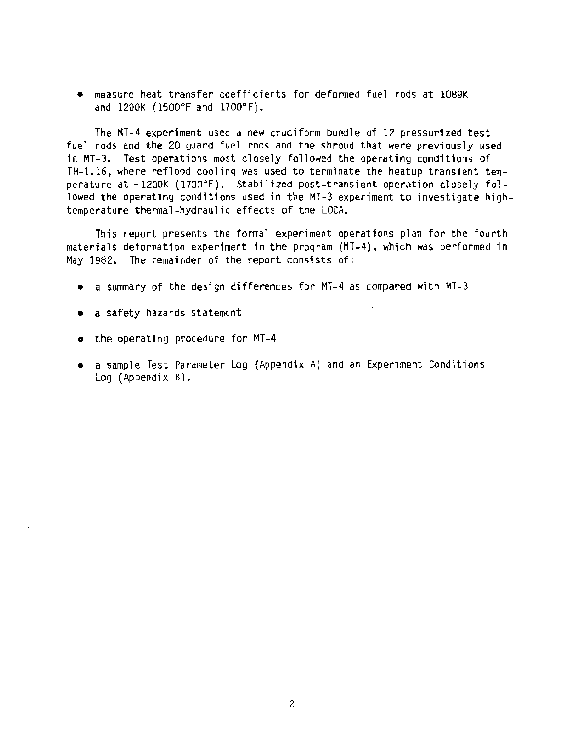• measure heat transfer coefficients for deformed fuel rods at 1089K and 1200K ( 1500°F and 1700°F),

The MT-4 experiment used a new cruciform bundle of 12 pressurized test fuel rods and the 20 guard fuel rods and the shroud that were previously used in MT-3. Test operations most closely followed the operating conditions of TH~l.l6, where reflood cooling was used to terminate the heatup transient temperature at -1200K (1700°F). Stabilized post-transient operation closely followed the operating conditions used in the MT-3 experiment to investigate hightemperature thermal-hydraulic effects of the LOCA.

This report presents the formal experiment operations plan for the fourth materials deformation experiment in the program (MT-4), which was performed in May 1982. The remainder of the report consists of:

- a summary of the design differences for MT-4 as. compared with MT-3
- a safety hazards statement
- e the operating procedure for MT-4
- a sample Test Parameter Log {Appendix A) and an Experiment Conditions Log (Appendix B).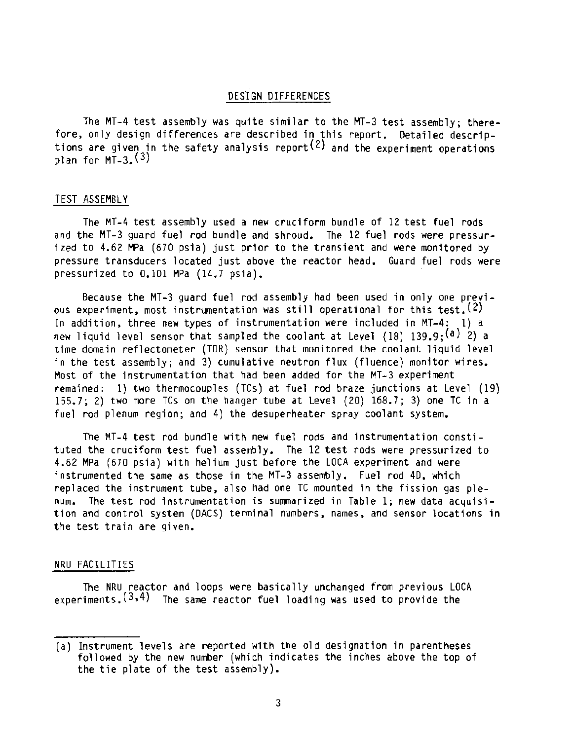#### DESIGN DIFFERENCES

The MT-4 test assembly was quite similar to the MT-3 test assembly; therefore, only design differences are described in this report. Detailed descriptions are given in the safety analysis report $(2)$  and the experiment operations plan for  $MT-3(3)$ 

#### TEST ASSEMBLY

The MT-4 test assembly used a new cruciform bundle of 12 test fuel rods and the MT-3 guard fuel rod bundle and shroud. The 12 fuel rods were pressurized to 4.62 MPa (670 psia) just prior to the transient and were monitored by pressure transducers located just above the reactor head. Guard fuel rods were pressurized to 0.101 MPa (14.7 psia}.

Because the MT-3 guard fuel rod assembly had been used in only one previous experiment, most instrumentation was still operational for this test.<sup>(2)</sup> In addition, three new types of instrumentation were included in MT-4: 1) a new liquid level sensor that sampled the coolant at Level  $(18)$   $139.9$ ; $(9)$   $(2)$  a time domain reflectometer (TOR} sensor that monitored the coolant liquid level in the test assembly; and 3) cumulative neutron flux (fluence) monitor wires. Most of the instrumentation that had been added for the MT-3 experiment remained: I} two thermocouples (TCs} at fuel rod braze junctions at Level (19} 155.7; 2} two more TCs on the hanger tube at Level (20} 168.7; 3) one TC in a fuel rod plenum region; and 4} the desuperheater spray coolant system.

The MT-4 test rod bundle with new fuel rods and instrumentation constituted the cruciform test fuel assembly. The 12 test rods were pressurized to 4.62 MPa (670 psia) with helium just before the LOCA experiment and were instrumented the same as those in the MT-3 assembly. Fuel rod 40, which replaced the instrument tube, also had one TC mounted in the fission gas plenum. The test rod instrumentation is summarized in Table 1; new data acquisition and control system (DACS) terminal numbers, names, and sensor locations in the test train are given.

#### NRU FACILITIES

The NRU reactor and loops were basically unchanged from previous LOCA experiments.  $(3, 4)$  The same reactor fuel loading was used to provide the

<sup>(</sup>a} Instrument levels are reported with the old designation in parentheses followed by the new number (which indicates the inches above the top of the tie plate of the test assembly).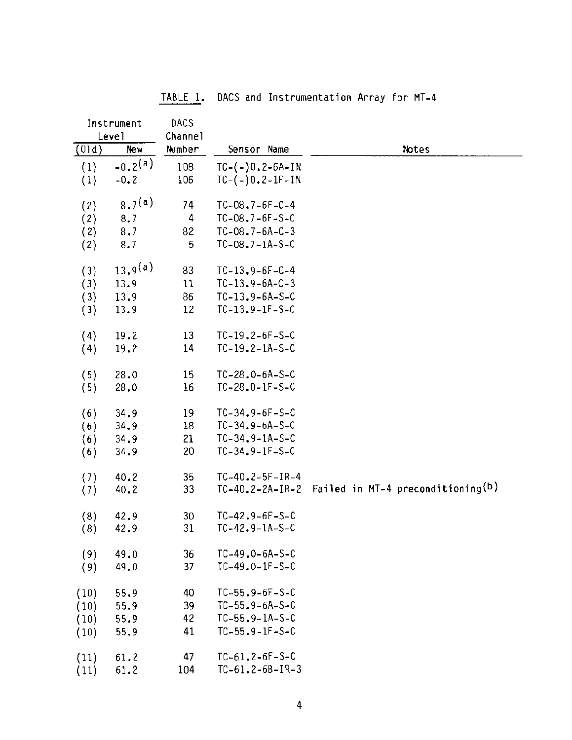|            | Instrument   | DACS           |                         |                                      |
|------------|--------------|----------------|-------------------------|--------------------------------------|
|            | Level        | Channel        |                         |                                      |
| (01d)      | New          | Number         | Sensor Name             | <b>Notes</b>                         |
| (1)        | $-0.2^{(a)}$ | 108            | $TC - (-)0.2 - 6A - IN$ |                                      |
| (1)        | $-0.2$       | 106            | $TC - (-)0.2 - IF - IN$ |                                      |
|            |              |                |                         |                                      |
| (2)        | $8.7^{(a)}$  | 74             | $TC-08, 7-6F-C-4$       |                                      |
| (2)        | 8,7          | $\overline{4}$ | $TC-08.7-6F-S-C$        |                                      |
| (2)        | 8,7          | 82             | $TC-08.7-6A-C-3$        |                                      |
| (2)        | 8.7          | 5              | $TC-08.7-1A-S-C$        |                                      |
|            |              |                |                         |                                      |
| (3)        | $_{13.9}(a)$ | 83             | $TC-13, 9-6F-C-4$       |                                      |
| (3)        | 13.9         | 11             | $TC-13.9-6A-C-3$        |                                      |
| (3)        | 13.9         | 86             | $TC-13.9-6A-S-C$        |                                      |
| (3)        | 13.9         | 12             | $TC-13.9-IF-S-C$        |                                      |
|            |              |                |                         |                                      |
| (4)        | 19.2         | 13             | $TC-19.2-6F-S-C$        |                                      |
| (4)        | 19.2         | 14             | $TC-19.2-1A-S-C$        |                                      |
|            |              |                |                         |                                      |
| (5)        | 28.0         | 15             | $TC-28, 0-6A-S-C$       |                                      |
| (5)        | 28.0         | 16             | $TC-28.0-1F-S-C$        |                                      |
|            |              |                |                         |                                      |
| (6)        | 34.9         | 19             | $TC-34.9-6F-S-C$        |                                      |
| (6)        | 34.9         | 18             | $TC-34.9-6A-S-C$        |                                      |
| (6)        | 34.9         | 21             | $TC-34.9-1A-S-C$        |                                      |
| (6)        | 34.9         | 20             | $TC-34.9-IF-S-C$        |                                      |
|            |              |                |                         |                                      |
| (7)        | 40.2         | 35             | $TC-40.2-5F-IR-4$       | Failed in MT-4 preconditioning $(b)$ |
| (7)        | 40.2         | 33             | $TC-40.2-2A-IR-2$       |                                      |
|            |              |                | $TC-42.9-6F-S-C$        |                                      |
| (8)<br>(8) | 42.9<br>42.9 | 30<br>31       | $TC-42.9-1A-S-C$        |                                      |
|            |              |                |                         |                                      |
| (9)        | 49.0         | 36             | $TC-49.0-6A-S-C$        |                                      |
| (9)        | 49.0         | 37             | $TC-49.0-1F-S-C$        |                                      |
|            |              |                |                         |                                      |
| (10)       | 55.9         | 40             | $TC-55.9-6F-S-C$        |                                      |
| (10)       | 55.9         | 39             | $TC-55.9-6A-S-C$        |                                      |
| (10)       | 55.9         | 42             | $TC-55.9-1A-S-C$        |                                      |
| (10)       | 55.9         | 41             | $TC-55.9-1F-S-C$        |                                      |
|            |              |                |                         |                                      |
| (11)       | 61.2         | 47             | $TC-61.2-6F-S-C$        |                                      |
| (11)       | 61.2         | 104            | $TC-61.2-6B-IR-3$       |                                      |

TABLE 1. **DACS and Instrumentation Array for MT-4**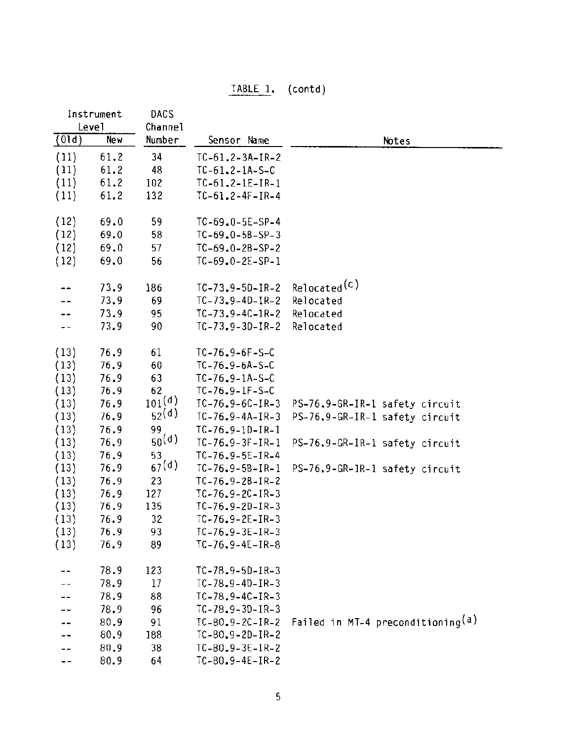|       | Instrument | DACS               |                   |                                               |
|-------|------------|--------------------|-------------------|-----------------------------------------------|
| Leve1 |            | Channel            |                   |                                               |
| (01d) | New        | Number             | Sensor Name       | Notes                                         |
| (11)  | 61.2       | 34                 | $TC-61.2-3A-IR-2$ |                                               |
| (11)  | 61.2       | 48                 | $TC-61.2-1A-S-C$  |                                               |
| (11)  | 61.2       | 102                | $TC-61.2-1E-IR-1$ |                                               |
| (11)  | 61.2       | 132                | $TC-61.2-4F-IR-4$ |                                               |
| (12)  | 69.0       | 59                 | $TC-69.0-5E-SP-4$ |                                               |
| (12)  | 69.0       | 58                 | $TC-69.0-5B-SP-3$ |                                               |
| (12)  | 69.0       | 57                 | $TC-69.0-2B-SP-2$ |                                               |
| (12)  | 69.0       | 56                 | $TC-69.0-2E-SP-1$ |                                               |
|       | 73.9       | 186                | $TC-73.9-5D-IR-2$ | Relocated <sup>(c)</sup>                      |
|       | 73.9       | 69                 | $TC-73.9-4D-IR-2$ | Relocated                                     |
|       | 73.9       | 95                 | $TC-73.9-4C-1R-2$ | Relocated                                     |
|       | 73.9       | 90                 | $TC-73.9-3D-IR-2$ | Relocated                                     |
| (13)  | 76.9       | 61                 | $TC-76.9-6F-S-C$  |                                               |
| (13)  | 76.9       | 60                 | $TC-76.9-6A-S-C$  |                                               |
| (13)  | 76.9       | 63                 | $TC-76.9-1A-S-C$  |                                               |
| (13)  | 76.9       | 62                 | $TC-76.9-1F-S-C$  |                                               |
| (13)  | 76.9       | 101 <sup>(d)</sup> | $TC-76.9-6C-IR-3$ | PS-76.9-GR-IR-1 safety circuit                |
| (13)  | 76.9       | $_{52}$ (d)        | $TC-76.9-4A-IR-3$ | PS-76.9-GR-IR-1 safety circuit                |
| (13)  | 76.9       | 99                 | $TC-76.9-1D-IR-1$ |                                               |
| (13)  | 76.9       | $50^{(d)}$         | $TC-76.9-3F-IR-1$ | PS-76.9-GR-IR-1 safety circuit                |
| (13)  | 76.9       | 53                 | $TC-76.9-5E-IR-4$ |                                               |
| (13)  | 76.9       | 67 <sup>(d)</sup>  | $TC-76.9-5B-IR-1$ | PS-76.9-GR-1R-1 safety circuit                |
| (13)  | 76.9       | 23                 | $TC-76.9-2B-IR-2$ |                                               |
| (13)  | 76.9       | 127                | $TC-76.9-2C-IR-3$ |                                               |
| (13)  | 76.9       | 135                | $TC-76.9-2D-IR-3$ |                                               |
| (13)  | 76.9       | 32                 | $TC-76.9-2E-IR-3$ |                                               |
| (13)  | 76.9       | 93                 | $TC-76.9-3E-IR-3$ |                                               |
| (13)  | 76.9       | 89                 | $TC-76.9-4E-IR-8$ |                                               |
|       | 78.9       | 123                | $TC-78.9-5D-IR-3$ |                                               |
|       | 78.9       | 17                 | $TC-78.9-4D-IR-3$ |                                               |
|       | 78.9       | 88                 | $TC-78.9-4C-IR-3$ |                                               |
|       | 78.9       | 96                 | $TC-78.9-3D-IR-3$ |                                               |
|       | 80.9       | 91                 | $TC-80.9-2C-IR-2$ | Failed in MT-4 preconditioning <sup>(a)</sup> |
|       | 80.9       | 188                | $TC-80.9-2D-IR-2$ |                                               |
|       | 80.9       | 38                 | $TC-80.9-3E-IR-2$ |                                               |
|       | 80.9       | 64                 | $TC-80.9-4E-IR-2$ |                                               |

# TABLE l. (contd)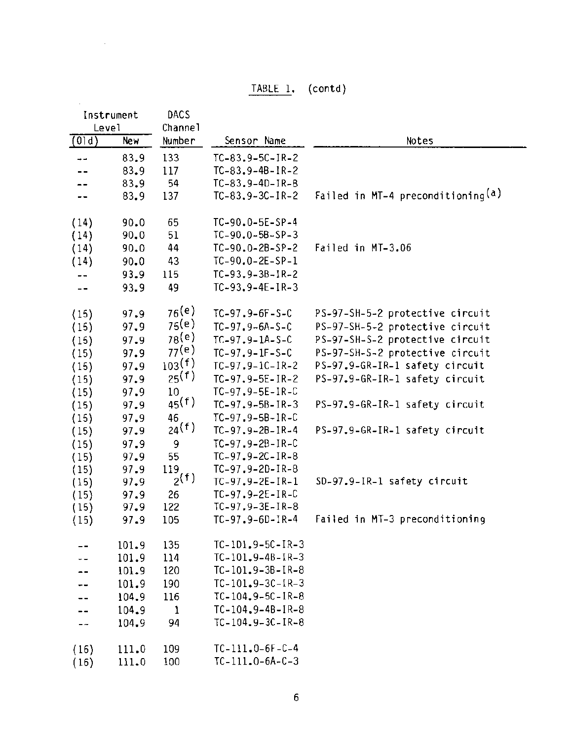| TABLE 1. | (contd) |
|----------|---------|
|          |         |

 $\label{eq:2.1} \frac{1}{\sqrt{2}}\left(\frac{1}{\sqrt{2}}\right)^{2} \left(\frac{1}{\sqrt{2}}\right)^{2} \left(\frac{1}{\sqrt{2}}\right)^{2} \left(\frac{1}{\sqrt{2}}\right)^{2} \left(\frac{1}{\sqrt{2}}\right)^{2} \left(\frac{1}{\sqrt{2}}\right)^{2} \left(\frac{1}{\sqrt{2}}\right)^{2} \left(\frac{1}{\sqrt{2}}\right)^{2} \left(\frac{1}{\sqrt{2}}\right)^{2} \left(\frac{1}{\sqrt{2}}\right)^{2} \left(\frac{1}{\sqrt{2}}\right)^{2} \left(\$ 

|       | Instrument | DACS             |                    |                                               |
|-------|------------|------------------|--------------------|-----------------------------------------------|
| Level |            | Channel          |                    |                                               |
| (01d) | New        | Number           | Sensor Name        | Notes                                         |
|       | 83.9       | 133              | $TC-83.9-5C-IR-2$  |                                               |
|       | 83.9       | 117              | $TC-83.9-4B-IR-2$  |                                               |
|       | 83.9       | - 54             | $TC-83.9-4D-IR-8$  |                                               |
|       | 83.9       | 137              | $TC-83.9-3C-IR-2$  | Failed in MT-4 preconditioning <sup>(a)</sup> |
| (14)  | 90.0       | 65               | $TC-90.0-5E-SP-4$  |                                               |
| (14)  | 90.0       | 51               | $TC-90.0-5B-SP-3$  |                                               |
| (14)  | 90.0       | 44               | $TC-90.0-2B-SP-2$  | Failed in MT-3.06                             |
| (14)  | 90.0       | 43               | $TC-90.0-2E-SP-1$  |                                               |
| --    | 93.9       | 115              | $TC-93.9-3B-IR-2$  |                                               |
|       | 93.9       | 49               | $TC-93.9-4E-IR-3$  |                                               |
| (15)  | 97.9       | 76(e)            | $TC-97.9-6F-S-C$   | PS-97-SH-5-2 protective circuit               |
| (15)  | 97.9       | 75(e)            | $TC-97.9-6A-S-C$   | PS-97-SH-5-2 protective circuit               |
| (15)  | 97.9       | 78(e)            | $TC-97.9-1A-S-C$   | PS-97-SH-S-2 protective circuit               |
| (15)  | 97.9       | 77(e)            | $TC-97.9-1F-S-C$   | PS-97-SH-S-2 protective circuit               |
| (15)  | 97.9       | $_{103}(f)$      | $TC-97.9-1C-IR-2$  | PS-97.9-GR-IR-1 safety circuit                |
| (15)  | 97.9       | $25($ f)         | $TC-97.9-5E-IR-2$  | PS-97.9-GR-IR-1 safety circuit                |
| (15)  | 97.9       | 10 <sup>10</sup> | $TC-97.9-5E-IR-C$  |                                               |
| (15)  | 97.9       | $45($ f)         | $TC-97.9-5B-IR-3$  | PS-97.9-GR-IR-1 safety circuit                |
| (15)  | 97.9       | 46               | $TC-97.9-5B-IR-C$  |                                               |
| (15)  | 97.9       | $_{24}(f)$       | $TC-97.9-2B-IR-4$  | PS-97.9-GR-IR-1 safety circuit                |
| (15)  | 97.9       | 9                | $TC-97.9-2B-IR-C$  |                                               |
| (15)  | 97.9       | 55               | $TC-97.9-2C-IR-8$  |                                               |
| (15)  | 97.9       | 119              | $TC-97.9-2D-IR-8$  |                                               |
| (15)  | 97.9       | 2(f)             | $TC-97.9-2E-IR-1$  | SD-97.9-IR-1 safety circuit                   |
| (15)  | 97.9       | 26               | $TC-97.9-2E-IR-C$  |                                               |
| (15)  | 97.9       | 122              | $TC-97.9-3E-IR-8$  |                                               |
| (15)  | 97.9       | 105              | $TC-97.9-6D-IR-4$  | Failed in MT-3 preconditioning                |
|       | 101.9      | 135              | $TC-1D1.9-5C-IR-3$ |                                               |
|       | 101.9      | 114              | $TC-101.9-4B-IR-3$ |                                               |
|       | 101.9      | 120              | $TC-101.9-3B-IR-8$ |                                               |
|       | 101.9      | 190              | $TC-101.9-3C-IR-3$ |                                               |
|       | 104.9      | 116              | $TC-104.9-5C-1R-8$ |                                               |
|       | 104.9      | $\mathbf{1}$     | $TC-104.9-4B-IR-8$ |                                               |
| - -   | 104.9      | 94               | $TC-104.9-3C-IR-8$ |                                               |
| (16)  | 111.0      | 109              | $TC-111.0-6F-C-4$  |                                               |
| (16)  | 111.0      | 100              | $TC-111.0-6A-C-3$  |                                               |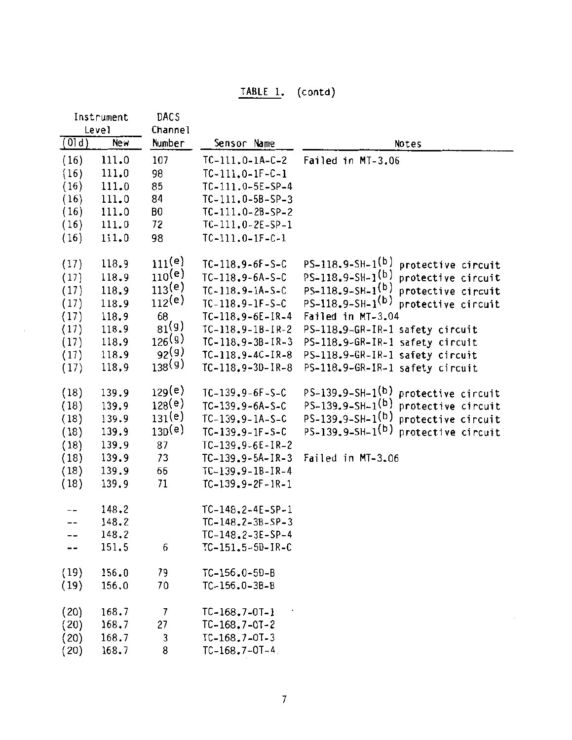TABLE 1. (contd)

|       | Instrument | DACS        |                    |                                                    |
|-------|------------|-------------|--------------------|----------------------------------------------------|
|       | Level      | Channel     |                    |                                                    |
| (01d) | New        | Number      | Sensor Name        | Notes                                              |
| (16)  | 111.0      | 107         | $TC-111.0-1A-C-2$  | Failed in MT-3.06                                  |
| (16)  | 111.0      | 98          | $TC-111.0-1F-C-1$  |                                                    |
| (16)  | 111.0      | 85          | TC-111.0-5E-SP-4   |                                                    |
| (16)  | 111.0      | 84          | $TC-111.0-5B-SP-3$ |                                                    |
| (16)  | 111.0      | B0          | $TC-111.0-2B-SP-2$ |                                                    |
| (16)  | 111.0      | 72          | $TC-111.0-2E-SP-1$ |                                                    |
| (16)  | 111.0      | 98          | $TC-111.0-1F-C-1$  |                                                    |
| (17)  | 118.9      | 111(e)      | $TC-118.9-6F-S-C$  | PS-118.9-SH-1 <sup>(b)</sup><br>protective circuit |
| (17)  | 118.9      | $_{110}(e)$ | $TC-118.9-6A-S-C$  | PS-118.9-SH-1 <sup>(b)</sup><br>protective circuit |
| (17)  | 118.9      | $_{113}(e)$ | $TC-118.9-1A-S-C$  | $PS-118.9-SH-1^{(b)}$<br>protective circuit        |
| (17)  | 118.9      | $_{112}(e)$ | $TC-118.9-1F-S-C$  | $PS-118.9-SH-1^{(b)}$<br>protective circuit        |
| (17)  | 118.9      | 68          | $TC-118.9-6E-IR-4$ | Failed in MT-3.04                                  |
| (17)  | 118.9      | $_{81}(9)$  | $TC-118.9-1B-IR-2$ | PS-118.9-GR-IR-1 safety circuit                    |
| (17)  | 118.9      | 126(9)      | $TC-118.9-3B-IR-3$ | PS-118.9-GR-IR-1 safety circuit                    |
| (17)  | 118.9      | 92(9)       | $TC-118.9-4C-IR-8$ | PS-118.9-GR-IR-1 safety circuit                    |
| (17)  | 118.9      | 138(9)      | $TC-118.9-3D-IR-8$ | PS-118.9-GR-IR-1 safety circuit                    |
| (18)  | 139.9      | 129(e)      | $TC-139.9-6F-S-C$  | PS-139.9-SH-1(b)<br>protective circuit             |
| (18)  | 139.9      | 128(e)      | $TC-139.9-6A-S-C$  | PS-139.9-SH-1 <sup>(b)</sup><br>protective circuit |
| (18)  | 139.9      | $_{131}(e)$ | $TC-139.9-1A-S-C$  | PS-139.9-SH-1 <sup>(b)</sup><br>protective circuit |
| (18)  | 139.9      | $_{130}(e)$ | $TC-139.9-1F-S-C$  | $PS-139.9-SH-1^{(b)}$<br>protective circuit        |
| (18)  | 139.9      | 87          | $TC-139.9-6E-IR-2$ |                                                    |
| (18)  | 139.9      | 73          | $TC-139.9-5A-IR-3$ | Failed in MT-3.06                                  |
| (18)  | 139.9      | 66          | $TC-139.9-1B-IR-4$ |                                                    |
| (18)  | 139.9      | 71          | $TC-139.9-2F-IR-1$ |                                                    |
|       | 148.2      |             | $TC-148.2-4E-SP-1$ |                                                    |
| $ -$  | 148.2      |             | $TC-148.2-3B-SP-3$ |                                                    |
| --    | 148.2      |             | $TC-148.2-3E-SP-4$ |                                                    |
|       | 151.5      | 6           | $TC-151.5-5D-IR-C$ |                                                    |
| (19)  | 156.0      | 79          | $TC-156.0-5D-B$    |                                                    |
| (19)  | 156.0      | 70          | $TC-156.0-3B-B$    |                                                    |
|       |            |             |                    |                                                    |
| (20)  | 168.7      | 7           | $TC-168.7-0T-1$    |                                                    |
| (20)  | 168.7      | 27          | $TC-168.7-0T-2$    |                                                    |
| (20)  | 168.7      | 3           | $TC-168.7-0T-3$    |                                                    |
| (20)  | 168.7      | 8           | $TC-168.7-0T-4$    |                                                    |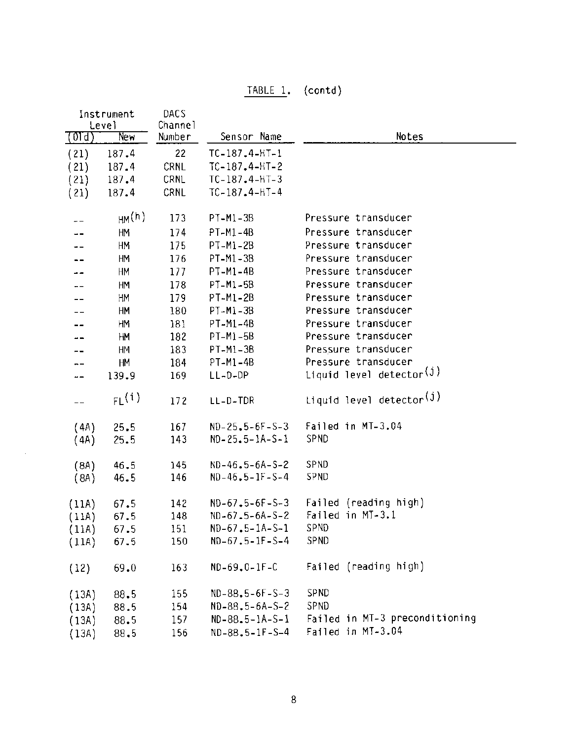|                          | Instrument   | DACS              |                            |                                      |
|--------------------------|--------------|-------------------|----------------------------|--------------------------------------|
| 701d)                    | Level<br>New | Channel<br>Number | Sensor Name                | Notes                                |
| (21)                     | 187.4        | 22                | $TC-187.4-HT-1$            |                                      |
| (21)                     | 187.4        | CRNL              | $TC-187, 4-HT-2$           |                                      |
| (21)                     | 187.4        | CRNL              | $TC-187.4-HT-3$            |                                      |
|                          |              | CRNL              | $TC-187.4-HT-4$            |                                      |
| (21)                     | 187.4        |                   |                            |                                      |
|                          | HM(h)        | 173               | $PT-M1-3B$                 | Pressure transducer                  |
|                          | HM           | 174               | $PT-M1-4B$                 | Pressure transducer                  |
|                          | HМ           | 175               | $PT-M1-2B$                 | Pressure transducer                  |
|                          | HМ           | 176               | $PT-M1-3B$                 | Pressure transducer                  |
|                          | HМ           | 177               | $PT-M1-4B$                 | Pressure transducer                  |
|                          | HM.          | 178               | $PT-M1-5B$                 | Pressure transducer                  |
|                          | HМ           | 179               | $PT-M1-2B$                 | Pressure transducer                  |
|                          | HМ           | 180               | $PT-M1-3B$                 | Pressure transducer                  |
|                          | HМ           | 181               | $PT-M1-4B$                 | Pressure transducer                  |
|                          | HM           | 182               | $PI-M1-SB$                 | Pressure transducer                  |
|                          | HM.          | 183               | $PT-M1-3B$                 | Pressure transducer                  |
| $\overline{\phantom{0}}$ | HМ           | 184               | $PT-M1-4B$                 | Pressure transducer                  |
| ш.                       | 139.9        | 169               | $LL-D-DP$                  | Liquid level detector <sup>(j)</sup> |
|                          | FL(1)        | 172               | LL-D-TDR                   | Liquid level detector <sup>(j)</sup> |
|                          |              |                   |                            |                                      |
| (4A)                     | 25.5         | 167               | $ND-25.5-6F-S-3$           | Failed in MT-3.04                    |
| (4A)                     | 25.5         | 143               | $ND - 25 - 5 - 1A - S - 1$ | SPND                                 |
|                          |              |                   |                            |                                      |
| (8A)                     | 46.5         | 145               | $ND-46.5-6A-S-2$           | SPND                                 |
| (8A)                     | 46.5         | 146               | $ND-46.5-1F-S-4$           | SPND                                 |
| (11A)                    | 67.5         | 142               | $ND-67 - 5-6F - S-3$       | Failed (reading high)                |
| (11A)                    | 67.5         | 148               | $ND-67.5-6A-S-2$           | Failed in MT-3.1                     |
| (11A)                    | 67.5         | 151               | $ND-67.5-1A-S-1$           | SPND                                 |
| (11A)                    | 67.5         | 150               | $ND-67.5-1F-S-4$           | SPND                                 |
| (12)                     | 69.0         | 163               | $ND-69, 0-1F-C$            | Failed (reading high)                |
| (13A)                    | 88.5         | 155               | $ND-88.5-6F-S-3$           | SPND                                 |
| (13A)                    | 88.5         | 154               | $ND-88, 5-6A-S-2$          | SPND                                 |
| (13A)                    | 88.5         | 157               | $ND-88.5-1A-S-1$           | Failed in MT-3 preconditioning       |
| (13A)                    | 88.5         | 156               | $ND-88.5-1F-S-4$           | Failed in MT-3.04                    |

 $\sim 10^{-1}$ 

 $TABLE 1. (contd)$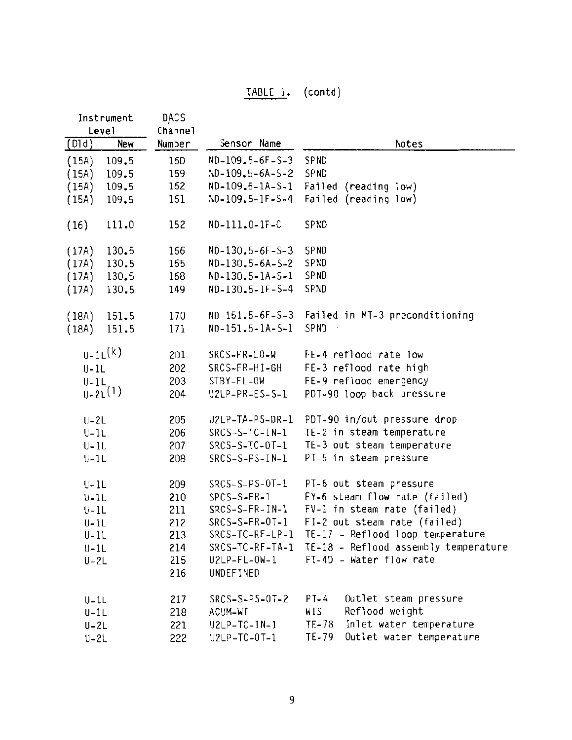$TABLE 1. (contd)$ 

|          | Instrument      | DACS       |                           |                                      |
|----------|-----------------|------------|---------------------------|--------------------------------------|
|          | Level           | Channel    |                           |                                      |
| (D1d)    | New             | Number     | Sensor Name               | Notes                                |
| (15A)    | 109.5           | 16D        | $ND-109.5-6F-S-3$         | SPND                                 |
| (15A)    | 109.5           | 159        | ND-109.5-6A-S-2           | SPND                                 |
| (15A)    | 109.5           | 162        | $ND-109.5-1A-S-1$         | Failed (reading low)                 |
| (15A)    | 109.5           | 161        | $ND-109.5-1F-S-4$         | Failed (reading low)                 |
| (16)     | 111.0           | 152        | $ND-111.0-1F-C$           | SPND                                 |
|          |                 |            |                           |                                      |
| (17A)    | 130.5           | 166        | $ND-130.5-6F-S-3$         | SPND                                 |
| (17A)    | 130.5           | 165        | $ND-130.5-6A-S-2$         | SPND                                 |
| (17A)    | 130.5           | 168        | $ND-130.5-1A-S-1$         | SPND                                 |
| (17A)    | 130.5           | 149        | $ND-130.5-1F-S-4$         | SPND                                 |
| (18A)    | 151.5           | 170        | $ND - 151.5 - 6F - S - 3$ | Failed in MT-3 preconditioning       |
| (18A)    | 151.5           | 171        | $ND-151.5-1A-S-1$         | SPND                                 |
|          |                 |            |                           |                                      |
|          | $U_{-}1L^{(k)}$ | 201        | SRCS-FR-LO-W              | FE-4 reflood rate low                |
| $U - 1L$ |                 | 202        | SRCS-FR-HI-GH             | FE-3 reflood rate high               |
| $U - 1L$ |                 | 203        | STBY-FL-OW                | FE-9 reflood emergency               |
|          | $U - 2L(1)$     | 204        | $U2LP-PR-ES-S-1$          | PDT-90 loop back pressure            |
|          |                 |            |                           |                                      |
| $U - 2L$ |                 | 205        | U2LP-TA-PS-DR-1           | PDT-90 in/out pressure drop          |
| $U-1L$   |                 | 206        | SRCS-S-TC-IN-1            | TE-2 in steam temperature            |
| $U - 1L$ |                 | 207        | $SRCS-S-TC-OT-1$          | TE-3 out steam temperature           |
| $U - 1L$ |                 | 208        | $SRCS-S-PS-IN-1$          | PT-5 in steam pressure               |
| $U - 1L$ |                 | 209        | $SRCS-S-PS-OT-1$          | PT-6 out steam pressure              |
| $U - 1L$ |                 | 210        | $SPCS-S-FR-1$             | FY-6 steam flow rate (failed)        |
| $U-1L$   |                 | 211        | $SRCS-S-FR-IN-1$          | $FV-1$ in steam rate (failed)        |
| $U - 1L$ |                 | 212        | $SRCS-S-FR-0T-1$          | FI-2 out steam rate (failed)         |
| $U - 1L$ |                 | 213        | SRCS-TC-RF-LP-1           | TE-17 - Reflood loop temperature     |
| $U - 1L$ |                 | 214        | SRCS-TC-RF-TA-1           | TE-18 - Reflood assembly temperature |
| $U - 2L$ |                 | 215        | $U2LP - FL - OW - 1$      | $FT-4D$ - Water flow rate            |
|          |                 | 216        | UNDEFINED                 |                                      |
|          |                 |            | $SRCS-S-PS-0T-2$          | Outlet steam pressure<br>$PT-4$      |
| $U - 1L$ |                 | 217<br>218 | ACUM-WT                   | Reflood weight<br>WIS                |
| $U-1L$   |                 |            | $U2LP-TC-IN-1$            | $TE-78$<br>Inlet water temperature   |
| $U - 2L$ |                 | 221        | $U2LP-TC-OT-1$            | Outlet water temperature<br>$TE-79$  |
| U-2L     |                 | 222        |                           |                                      |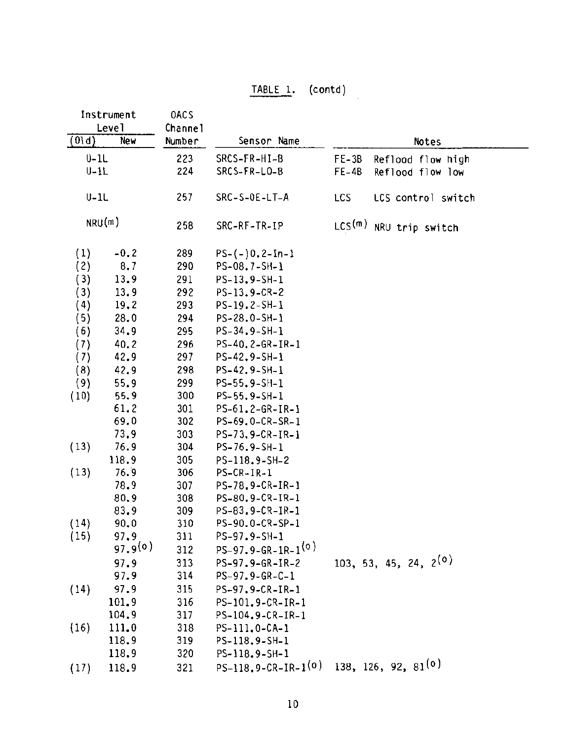|        | Instrument | <b>OACS</b> |                         |               |                                   |
|--------|------------|-------------|-------------------------|---------------|-----------------------------------|
|        | Level      | Channel     |                         |               |                                   |
| (01d)  | New        | Number      | Sensor Name             |               | Notes                             |
| $U-1L$ |            | 223         | $SRCS-FR-HI-B$          | $FE-3B$       | Reflood flow high                 |
| Մ-11   |            | 224         | SRCS-FR-LO-B            | $FE-4B$       | Reflood flow low                  |
|        |            |             |                         |               |                                   |
| $U-1L$ |            | 257         | SRC-S-OE-LT-A           | LCS           | LCS control switch                |
|        | NRU(m)     |             |                         |               |                                   |
|        |            | 258         | SRC-RF-TR-IP            | $LCS(\omega)$ | NRU trip switch                   |
|        |            |             |                         |               |                                   |
| (1)    | $-0.2$     | 289         | $PS-(-)0.2-In-1$        |               |                                   |
| (2)    | 8,7        | 290         | $PS-08.7-SH-1$          |               |                                   |
| (3)    | 13.9       | 291         | PS-13.9-SH-1            |               |                                   |
| (3)    | 13.9       | 292         | $PS-13.9-CR-2$          |               |                                   |
| (4)    | 19,2       | 293         | $PS-19.2-SH-1$          |               |                                   |
| (5)    | 28.0       | 294         | $PS-28.0-SH-1$          |               |                                   |
| (6)    | 34.9       | 295         | $PS-34.9-SH-1$          |               |                                   |
| (7)    | 40.2       | 296         | $PS-40.2-GR-IR-1$       |               |                                   |
| (7)    | 42.9       | 297         | PS-42.9-SH-1            |               |                                   |
| (8)    | 42.9       | 298         | PS-42.9-SH-1            |               |                                   |
| (9)    | 55.9       | 299         | PS-55.9-SH-1            |               |                                   |
| (10)   | 55.9       | 300         | $PS-55.9-SH-1$          |               |                                   |
|        | 61.2       | 301         | $PS-61.2-GR-IR-1$       |               |                                   |
|        | 69.0       | 302         | $PS-69.0-CR-SR-1$       |               |                                   |
|        | 73.9       | 303         | $PS-73.9-CR-IR-1$       |               |                                   |
| (13)   | 76.9       | 304         | $PS - 76.9 - SH - 1$    |               |                                   |
|        | 118.9      | 305         | PS-118.9-SH-2           |               |                                   |
| (13)   | 76.9       | 306         | $PS-CR-IR-1$            |               |                                   |
|        | 78.9       | 307         | $PS-78.9-CR-IR-1$       |               |                                   |
|        | 80.9       | 308         | $PS-80.9-CR-IR-1$       |               |                                   |
|        | 83.9       | 309         | $PS-83.9-CR-IR-1$       |               |                                   |
| (14)   | 90.0       | 310         | PS-90.0-CR-SP-1         |               |                                   |
| (15)   | 97.9       | 311         | PS-97.9-SH-1            |               |                                   |
|        | 97.9(0)    | 312         | $PS-97.9-GR-1R-1^{(0)}$ |               |                                   |
|        | 97.9       | 313         | $PS-97.9-GR-IR-2$       |               | 103, 53, 45, 24, 2 <sup>(0)</sup> |
|        | 97.9       | 314         | $PS-97.9-GR-C-1$        |               |                                   |
| (14)   | 97.9       | 315         | $PS-97.9-CR-IR-1$       |               |                                   |
|        | 101.9      | 316         | PS-101.9-CR-IR-1        |               |                                   |
|        | 104.9      | 317         | PS-104.9-CR-IR-1        |               |                                   |
| (16)   | 111.0      | 318         | PS-111.0-CA-1           |               |                                   |
|        | 118.9      | 319         | PS-118.9-SH-1           |               |                                   |
|        | 118.9      | 320         | PS-118.9-SH-1           |               |                                   |
|        |            | 321         | $PS-118.9-CR-IR-1(0)$   |               | 138, 126, 92, 81 <sup>(0)</sup>   |
| (17)   | 118.9      |             |                         |               |                                   |

TABLE 1. (contd)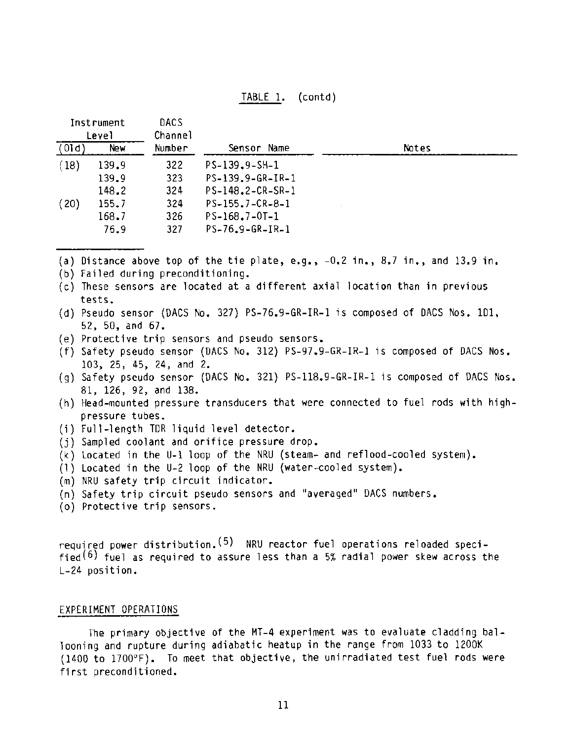#### TABLE 1. (contd)

| Instrument<br>Level        |       | <b>DACS</b><br>Channel |                    |       |  |
|----------------------------|-------|------------------------|--------------------|-------|--|
| $\left( 01\text{d}\right)$ | New   | Number                 | Sensor Name        | Notes |  |
| (18)                       | 139.9 | 322                    | $PS-139.9-SH-1$    |       |  |
|                            | 139.9 | 323                    | $PS-139.9-GR-IR-1$ |       |  |
|                            | 148.2 | 324                    | $PS-148.2-CR-SR-1$ |       |  |
| (20)                       | 155.7 | 324                    | $PS-155.7-CR-8-1$  |       |  |
|                            | 168.7 | 326                    | $PS-168.7-0T-1$    |       |  |
|                            | 76.9  | 327                    | $PS-76.9-GR-IR-1$  |       |  |

(a) Distance above top of the tie plate, e.g.,  $-0.2$  in.,  $8.7$  in., and 13.9 in.

- (b) Failed during preconditioning.
- (c) These sensors are located at a different axial location than in previous tests.
- (d) Pseudo sensor (DACS No. 327) PS-76.9-GR-IR-1 is composed of DACS Nos. 101, 52, 50, and 67.
- (e) Protective trip sensors and pseudo sensors.
- (f) Safety pseudo sensor (DACS No. 312) PS-97.9-GR-IR-1 is composed of DACS Nos. 103, 25, 45, 24, and 2.
- (g) Safety pseudo sensor (DACS No. 321) PS-118.9-GR-IR-1 is composed of DACS Nos. 81, 126, 92, and 138.
- (h) Head-mounted pressure transducers that were connected to fuel rods with highpressure tubes.
- (i) Full-length TOR liquid level detector.
- (j) Sampled coolant and orifice pressure drop.
- (k) Located in the U-1 loop of the NRU (steam- and reflood-cooled system).
- (1) Located in the U-2 loop of the NRU (water-cooled system).
- (m) NRU safety trip circuit indicator.
- (n) Safety trip circuit pseudo sensors and "averaged" DACS numbers.
- (o) Protective trip sensors.

required power distribution.  $(5)$  NRU reactor fuel operations reloaded specified<sup>(6)</sup> fuel as required to assure less than a 5% radial power skew across the L-24 position.

#### EXPERIMENT OPERATIONS

The primary objective of the MT-4 experiment was to evaluate cladding ballooning and rupture during adiabatic heatup in the range from 1033 to 1200K (1400 to 1700°F). To meet that objective, the unirradiated test fuel rods were first preconditioned.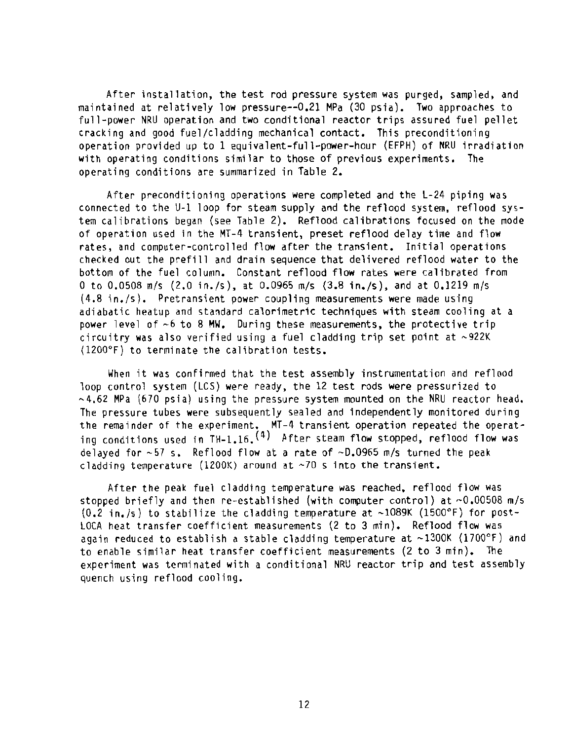After installation, the test rod pressure system was purged, sampled, and maintained at relatively low pressure--0.21 MPa (30 psia). Two approaches to full-power NRU operation and two conditional reactor trips assured fuel pellet cracking and good fuel/cladding mechanical contact. This preconditioning operation provided up to 1 equivalent-full-power-hour (EFPH) of NRU irradiation with operating conditions similar to those of previous experiments. The operating conditions are summarized in Table 2.

After preconditioning operations were completed and the L-24 p1p1ng was connected to the U-1 loop for steam supply and the reflood system, reflood system calibrations began (see Table 2). Reflood calibrations focused on the mode of operation used in the MT-4 transient, preset reflood delay time and flow rates, and computer-controlled flow after the transient. Initial operations checked out the prefill and drain sequence that delivered reflood water to the bottom of the fuel column. Constant reflood flow rates were calibrated from 0 to 0,0508 m/s (2.0 in./s), at 0.0965 m/s (3.8 in./s), and at 0.1219 m/s (4.8 in./s). Pretransient power coupling measurements were made using adiabatic heatup and standard calorimetric techniques with steam cooling at a power level of -6 to 8 MW. During these measurements, the protective trip circuitry was also verified using a fuel cladding trip set point at  $\sim$ 922K (1200°F) to terminate the calibration tests.

When it was confirmed that the test assembly instrumentation and reflood loop control system (LCS) were ready, the 12 test rods were pressurized to  $\sim$  4.62 MPa (670 psia) using the pressure system mounted on the NRU reactor head. The pressure tubes were subsequently sealed and independently monitored during the remainder of the experiment. MT-4 transient operation repeated the operating conditions used in  $TH-1.16$ .<sup>(4)</sup> After steam flow stopped, reflood flow was delayed for  $\sim$  57 s. Reflood flow at a rate of  $\sim$  D.0965 m/s turned the peak cladding temperature (1200K) around at  $\sim$ 70 s into the transient.

After the peak fuel cladding temperature was reached, reflood flow was stopped briefly and then re-established (with computer control) at  $\sim 0.00508$  m/s  $(0.2 \text{ in.}/s)$  to stabilize the cladding temperature at  $\sim$ 1089K (1500°F) for post-LOCA heat transfer coefficient measurements (2 to 3 min). Reflood flow was again reduced to establish a stable cladding temperature at  $\sim$ 1300K (1700°F) and to enable similar heat transfer coefficient measurements (2 to 3 min). The experiment was terminated with a conditional NRU reactor trip and test assembly quench using reflood cooling.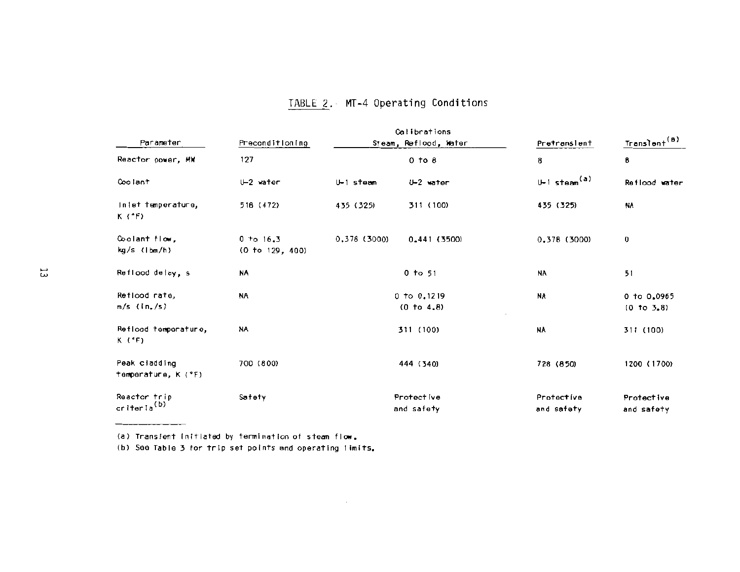# TABLE 2. MT-4 Operating Conditions

|                                         |                                  |              | Calibrations                  |                           |                               |
|-----------------------------------------|----------------------------------|--------------|-------------------------------|---------------------------|-------------------------------|
| Parameter                               | Preconditioning                  |              | Steam, Reflood, Water         | Pretranslent              | Translent <sup>(a)</sup>      |
| Reactor power, MW                       | 127                              |              | $0$ to $8$                    | 8                         | B                             |
| Coolant                                 | $U-2$ water                      | U−1 steam    | U-2 water                     | U-1 steam <sup>(a)</sup>  | Reflood water                 |
| Inlet temperature,<br>K (°F)            | 518 (472)                        | 435 (325)    | 311 (100)                     | 435 (325)                 | NA                            |
| Coolant flow,<br>kg/s (lbm/h)           | $0$ to $16.3$<br>(0 to 129, 400) | 0,378 (3000) | 0.441(3500)                   | 0.378 (3000)              | 0                             |
| Reflood delay, s                        | <b>NA</b>                        |              | $0$ to 51                     | <b>NA</b>                 | 51                            |
| Reflood rate,<br>$m/s$ (in./s)          | NA                               |              | $0$ to $0.1219$<br>(0 to 4.8) | <b>NA</b>                 | $0$ to $0.0965$<br>(0 to 3.8) |
| Reflood temperature,<br>$K$ (°F)        | NA                               |              | 311 (100)                     | <b>NA</b>                 | 311 (100)                     |
| Peak cladding<br>temperature, K (°F)    | 700 (800)                        |              | 444 (340)                     | 728 (850)                 | 1200 (1700)                   |
| Reactor trip<br>criteria <sup>(b)</sup> | Safety                           |              | Protect ive<br>and safety     | Protect ive<br>and safety | Protect ive<br>and safety     |

(a) Transient initiated by termination of steam flow.

(b) See Table 3 for trip set points and operating limits.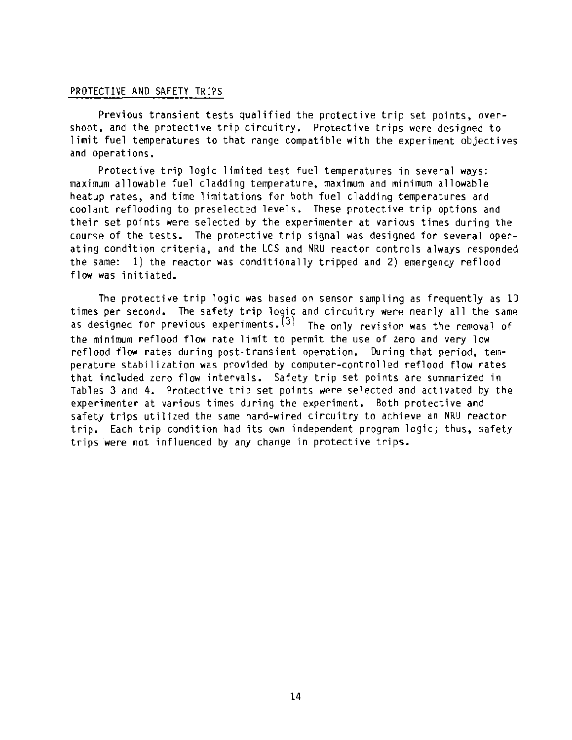#### PROTECTIVE AND SAFETY TRIPS

Previous transient tests qualified the protective trip set points, overshoot, and the protective trip circuitry. Protective trips were designed to limit fuel temperatures to that range compatible with the experiment objectives and operations.

Protective trip logic limited test fuel temperatures in several ways: maximum allowable fuel cladding temperature, maximum and minimum allowable heatup rates, and time limitations for both fuel cladding temperatures and coolant reflooding to preselected levels. These protective trip options and their set points were selected by the experimenter at various times during the course of the tests. The protective trip signal was designed for several operating condition criteria, and the LCS and NRU reactor controls always responded the same: 1) the reactor was conditionally tripped and 2) emergency reflood flow was initiated.

The protective trip logic was based on sensor sampling as frequently as 10 times per second. The safety trip logic and circuitry were nearly all the same as designed for previous experiments.  $(3)$  The only revision was the removal of the minimum reflood flow rate limit to permit the use of zero and very low reflood flow rates during post-transient operation. During that period, temperature stabilization was provided by computer-controlled reflood flow rates that included zero flow intervals. Safety trip set points are summarized in Tables 3 and 4. Protective trip set points were selected and activated by the experimenter at various times during the experiment. Both protective and safety trips utilized the same hard-wired circuitry to achieve an NRU reactor trip. Each trip condition had its own independent program logic; thus, safety trips were not influenced by any change in protective trips.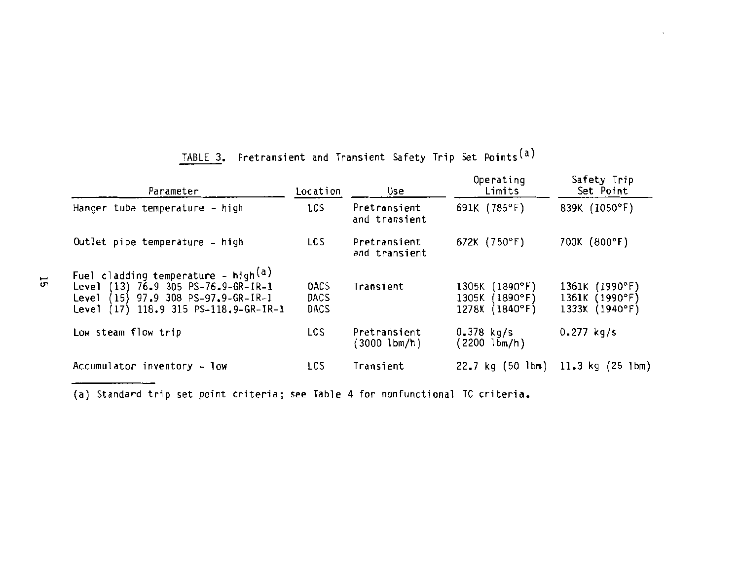| Parameter                                                                                                                                                                         | Location                    | Use                           | Operating<br>Limits                                     | Safety Trip<br>Set Point                                    |
|-----------------------------------------------------------------------------------------------------------------------------------------------------------------------------------|-----------------------------|-------------------------------|---------------------------------------------------------|-------------------------------------------------------------|
| Hanger tube temperature - high                                                                                                                                                    | LCS                         | Pretransient<br>and transient | 691K (785°F)                                            | 839K (1050°F)                                               |
| Outlet pipe temperature - high                                                                                                                                                    | LCS.                        | Pretransient<br>and transient | 672K (750°F)                                            | 700K (800°F)                                                |
| Fuel cladding temperature - high <sup>(a)</sup><br>$(13)$ 76.9 305 PS-76.9-GR-IR-1<br>Level<br>(15) 97.9 308 PS-97.9-GR-IR-1<br>Level<br>(17) 118.9 315 PS-118.9-GR-IR-1<br>Level | <b>OACS</b><br>DACS<br>DACS | Transient                     | (1890°F)<br>1305K<br>1305K (1890°F)<br>$1278K$ (1840°F) | 1361K (1990°F)<br>1361K (1990°F)<br>$1333K (1940^{\circ}F)$ |
| Low steam flow trip                                                                                                                                                               | <b>LCS</b>                  | Pretransient<br>(3000 lbm/h)  | $0.378$ kg/s<br>(2200 lbm/h)                            | $0.277$ kg/s                                                |
| Accumulator inventory - low                                                                                                                                                       | LCS                         | Transient                     |                                                         | $22.7$ kg $(50 \text{ lbm})$ $11.3$ kg $(25 \text{ lbm})$   |

TABLE 3. **Pretransient and Transient Safety Trip Set Points{a)** 

**(a) Standard trip set point criteria; see Table 4 for nonfunctional TC criteria.**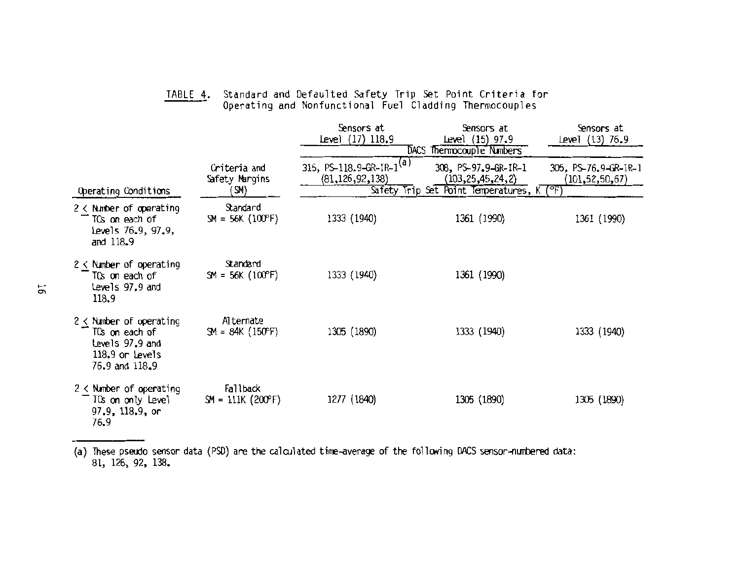|                                                                                                     |                                       | Sensors at<br>Level (17) 118.9                     | Sensors at<br>Level (15) 97.9<br>DACS Thermocouple Numbers                                 | Sensors at<br>Level $(13)$ 76.9           |
|-----------------------------------------------------------------------------------------------------|---------------------------------------|----------------------------------------------------|--------------------------------------------------------------------------------------------|-------------------------------------------|
| Operating Conditions                                                                                | Criteria and<br>Safety Margins<br>(SM | (a)<br>315, PS-118.9-GR-IR-1<br>(81, 126, 92, 138) | 308, PS-97.9-GR-IR-1<br>(103, 25, 45, 24, 2)<br>Safety Trip Set Point Temperatures, K (°F) | 305, PS-76.9-GR-IR-1<br>(101, 52, 50, 67) |
| 2 < Number of operating<br>TCs on each of<br>Levels $76.9, 97.9,$<br>and 118.9                      | Standard<br>$SM = 56K (100^{\circ}F)$ | 1333 (1940)                                        | 1361 (1990)                                                                                | 1361 (1990)                               |
| $2 <$ Number of operating<br>TCs on each of<br>Levels 97.9 and<br>118.9                             | Standard<br>$SM = 56K (100^{\circ}F)$ | 1333 (1940)                                        | 1361 (1990)                                                                                |                                           |
| $2 <$ Number of operating<br>TCs on each of<br>Levels 97.9 and<br>118.9 or Levels<br>76.9 and 118.9 | Alternate<br>$SM = 84K (150°F)$       | 1305 (1890)                                        | 1333 (1940)                                                                                | 1333 (1940)                               |
| $2 <$ Number of operating<br>TCs on only Level<br>97.9, 118.9, or<br>76.9                           | Fallback<br>$SM = 11$ ik (200°F)      | 1277 (1840)                                        | 1305 (1890)                                                                                | 1305 (1890)                               |

# TABLE 4. Standard and Defaulted Safety Trip Set Point Criteria for<br>Operating and Nonfunctional Fuel Cladding Thermocouples

(a) These pseudo sensor data (PSD) are the calculated time-average of the following DACS sensor-numbered data: 81, 126, 92, 138.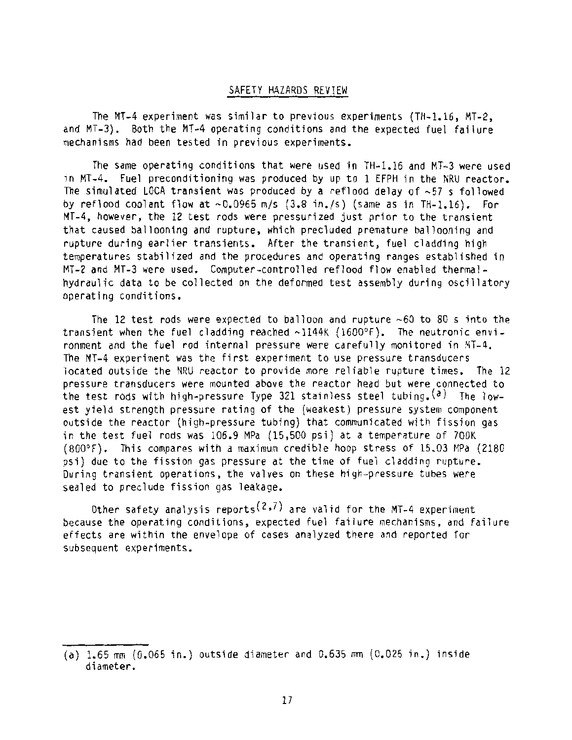#### SAFETY HAZARDS REVIEW

The MT-4 experiment was similar to previous experiments (TH-1.16, MT-2, and MT-3}. Both the MT-4 operating conditions and the expected fuel failure mechanisms had been tested in previous experiments.

The same operating conditions that were used in TH-1.16 and MT-3 were used in MT-4. Fuel preconditioning was produced by up to 1 EFPH in the NRU reactor. The simulated LOCA transient was produced by a reflood delay of  $~57$  s followed by reflood coolant flow at  $\sim 0.0965$  m/s  $(3.8 \text{ in.}/\text{s})$  (same as in TH-1.16). For MT-4, however, the 12 test rods were pressurized just prior to the transient that caused ballooning and rupture, which precluded premature ballooning and rupture during earlier transients. After the transient, fuel cladding high temperatures stabilized and the procedures and operating ranges established in MT-2 and MT-3 were used. Computer-controlled reflood flow enabled thermalhydraulic data to be collected on the deformed test assembly during oscillatory operating conditions.

The 12 test rods were expected to balloon and rupture ~60 to 80 s into the transient when the fuel cladding reached  $\sim$ 1144K (1600 $\degree$ F). The neutronic environment and the fuel rod internal pressure were carefully monitored in  $MT-4$ . The MT-4 experiment was the first experiment to use pressure transducers located outside the NRU reactor to provide more reliable rupture times. The 12 pressure transducers were mounted above the reactor head but were connected to the test rods with high-pressure Type 321 stainless steel tubing.<sup>{a}</sup> The lowest yield strength pressure rating of the {weakest) pressure system component outside the reactor (high-pressure tubing) that communicated with fission gas in the test fuel rods was 106.9 MPa (15,500 psi) at a temperature of 700K  $(800^{\circ}F)$ . This compares with a maximum credible hoop stress of 15.03 MPa  $(2180$ psi) due to the fission gas pressure at the time of fuel cladding rupture. During transient operations, the valves on these high-pressure tubes were sealed to preclude fission gas leakage.

Other safety analysis reports<sup>(2,7)</sup> are valid for the MT-4 experiment because the operating conditions, expected fuel failure mechanisms, and failure effects are within the envelope of cases analyzed there and reported for subsequent experiments.

<sup>(</sup>a} 1.65 mm (0.065 in.) outside diameter and 0.635 mm (0.025 in.) inside diameter.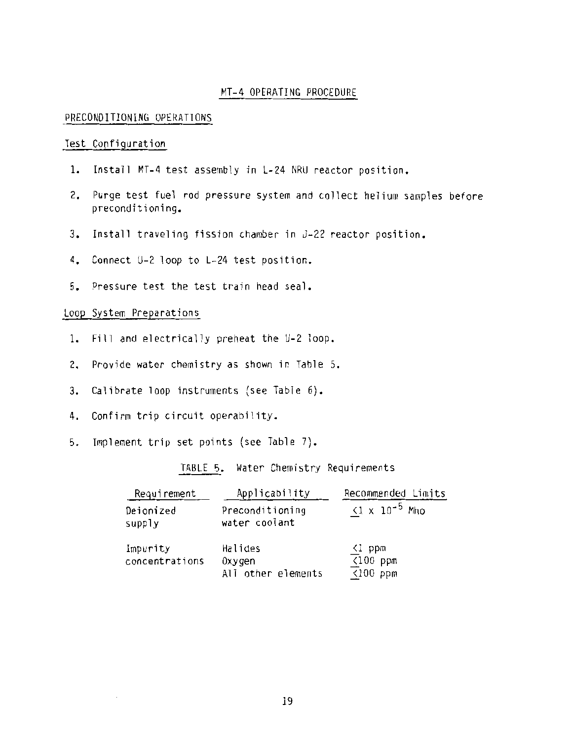#### MT-4 OPERATING PROCEDURE

#### PRECONDITIONING OPERATIONS

#### Test Configuration

- 1. Install MT-4 test assembly in l-24 NRU reactor position.
- 2. Purge test fuel rod pressure system and collect helium samples before preconditioning.
- 3. Install traveling fission chamber in J-22 reactor position.
- 4. Connect U-2 loop to L-24 test position.
- 5. Pressure test the test train head seal.

#### loop System Preparations

- 1. Fill and electrically preheat the U-2 loop.
- 2. Provide water chemistry as shown in Table 5.
- 3. Calibrate loop instruments (see Table 6).
- 4. Confirm trip circuit operability.
- 5. Implement trip set points (see Table 7).

TABLE 5. Water Chemistry Requirements

| Requirement                | Applicability                           | Recommended Limits                     |
|----------------------------|-----------------------------------------|----------------------------------------|
| Deionized<br>supply        | Preconditioning<br>water coolant        | $\langle$ 1 x 10 <sup>-5</sup> Mho     |
| Impurity<br>concentrations | Halides<br>Oxygen<br>All other elements | $\leq 1$ ppm<br>$100$ ppm<br>$100 ppm$ |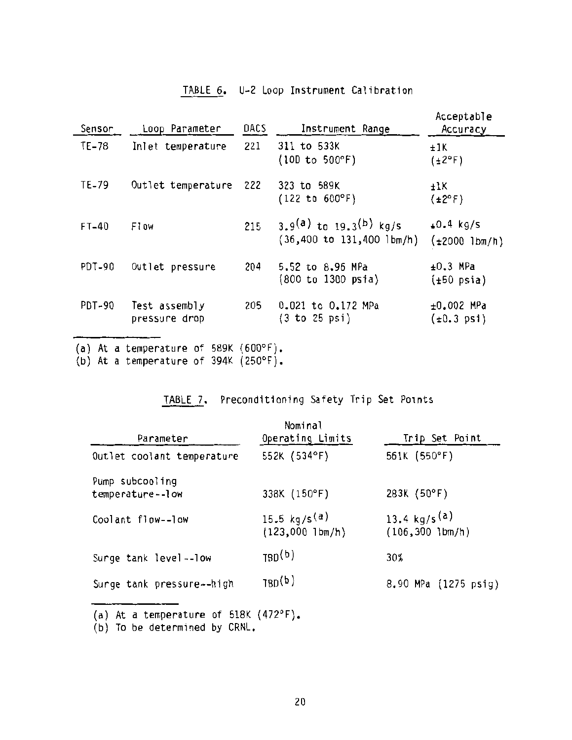| Sensor | Loop Parameter                 | DACS | Instrument Range                                                                 | Acceptable<br>Accuracy                    |
|--------|--------------------------------|------|----------------------------------------------------------------------------------|-------------------------------------------|
| TE-78  | Inlet temperature              | 221  | 311 to 533K<br>$(10D to 500^{\circ}F)$                                           | ±1K<br>$(\pm 2^{\circ}F)$                 |
| TE-79  | Outlet temperature             | 222  | 323 to 589K<br>$(122 to 600^{\circ}F)$                                           | ±ΙΚ<br>$(12^{\circ}F)$                    |
| FT-40  | Flow                           | 215  | $3.9^{(a)}$ to $19.3^{(b)}$ kg/s<br>$(36,400 \text{ to } 131,400 \text{ lbm/h})$ | $+0.4$ kg/s<br>$(\pm 2000 \text{ lbm/h})$ |
| PDT-90 | Outlet pressure                | 204  | 5.52 to 8.96 MPa<br>$(800 \text{ to } 1300 \text{ psia})$                        | $±0.3$ MPa<br>$(\pm 50 \text{ psia})$     |
| PDT-90 | Test assembly<br>pressure drop | 205  | 0.021 to 0.172 MPa<br>(3 to 25 psi)                                              | $±0.002$ MPa<br>$(\pm 0.3 \text{psi})$    |

|  |  |  | TABLE 6. U-2 Loop Instrument Calibration |
|--|--|--|------------------------------------------|
|--|--|--|------------------------------------------|

(a) At a temperature of 589K (600'F),

(b) At a temperature of 394K (250'F).

# TABLE 7. Preconditioning Safety Trip Set Po1nts

| Parameter                           | Nominal<br>Operating Limits                      | Trip Set Point                                    |
|-------------------------------------|--------------------------------------------------|---------------------------------------------------|
| Outlet coolant temperature          | 552K (534°F)                                     | 561K (550°F)                                      |
| Pump subcooling<br>temperature--low | 338K (150°F)                                     | 283K (50°F)                                       |
| Coolant flow--low                   | 15.5 kg/s <sup>(a)</sup><br>$(123,000 \; lbm/h)$ | 13.4 kg/s <sup>(a)</sup><br>$(106, 300 \; lbm/h)$ |
| Surge tank level--low               | $_{\text{TBD}}(b)$                               | 30%                                               |
| Surge tank pressure--high           | TBD(b)                                           | 8.90 MPa (1275 psig)                              |

(a) At a temperature of  $518K$  (472°F).

(b) To be determined by CRNL.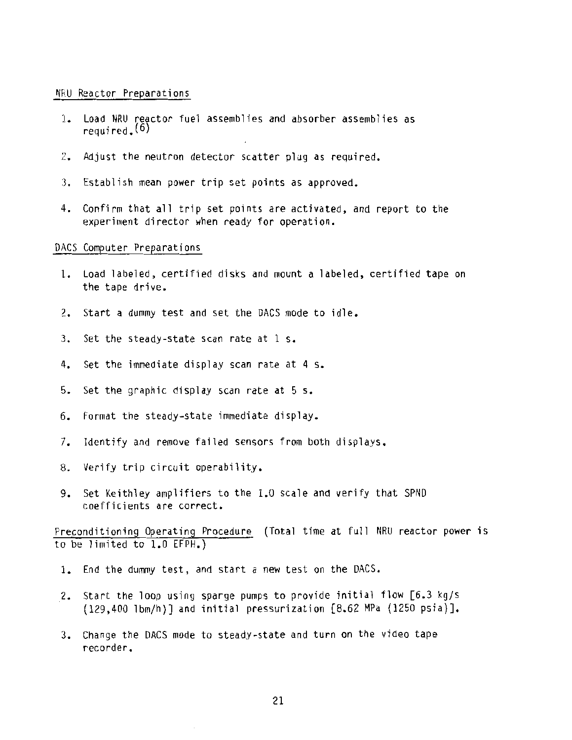#### NRU Reactor Preparations

- 1. Load NRU reactor fuel assemblies and absorber assemblies as required. (6)
- 2. Adjust the neutron detector scatter plug as required.
- J. Establish mean power trip set points as approved.
- 4. Confirm that all tr1p set points are activated, and report to the experiment director when ready for operation.

#### DACS Computer Preparations

- 1. Load labeled, certified disks and mount a labeled, certified tape on the tape drive.
- 2. Start a dummy test and set the DACS mode to idle.
- 3. Set the steady-state scan rate at 1 s.
- 4. Set the immediate display scan rate at 4 s.
- 5. Set the graphic display scan rate at 5 s.
- 6. Format the steady-state immediate display.
- 7. Identify and remove failed sensors from both displays.
- 8. Verify trip circuit operability.
- 9. Set Keithley amplifiers to the 1.0 scale and verify that SPND coefficients are correct.

Preconditioning Operating Procedure (Total time at full NRU reactor power is to be limited to 1.0 EFPH.)

- 1. End the dummy test, and start a new test on the DACS.
- 2. Start the loop using sparge pumps to provide initial flow [6.3 kg/s (129,400 lbm/h)] and initial pressurization [8.62 MPa (1250 psia)].
- 3. Change the DACS mode to steady-state and turn on the video tape recorder.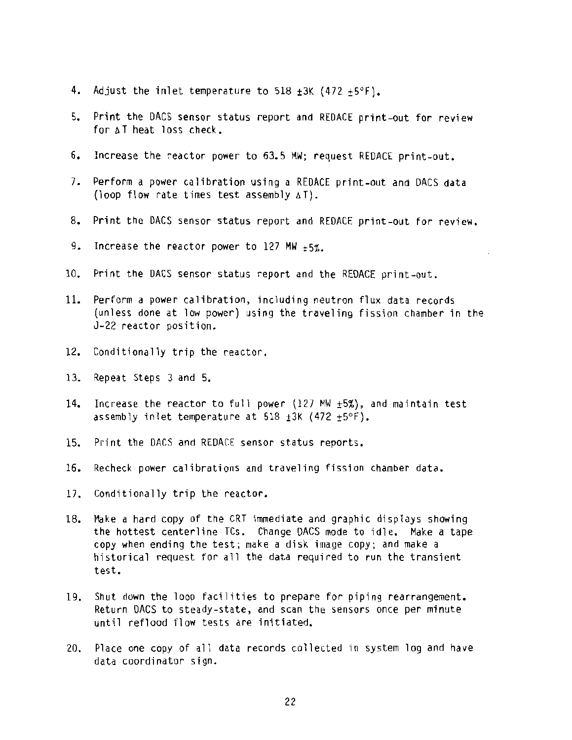- 4. Adjust the inlet temperature to 518  $\pm$ 3K (472  $\pm$ 5°F).
- 5. Print the DACS sensor status report and REOACE print-out for review for  $\Delta T$  heat loss check.
- 6. Increase the reactor power to 63.5 MW; request REOACE print-out.
- 7. Perform a power calibration using a REDACE print-out and DACS data (loop flow rate times test assembly  $\Delta T$ ).
- 8. Print the DACS sensor status report and REOACE print-out for review.
- 9. Increase the reactor power to 127 MW  $±5$ %.
- 10. Print the DACS sensor status report and the REOACE print-out.
- 11. Perform a power calibration. including neutron flux data records (unless done at low power) using the traveling fission chamber in the J-22 reactor position.
- 12. Conditionally trip the reactor.
- 13. Repeat Steps 3 and 5.
- 14. Increase the reactor to full power  $(127 \text{ MW } \pm 5\%)$ , and maintain test assembly inlet temperature at  $518 \pm 3K$  (472  $\pm 5^{\circ}F$ ).
- 15. Print the DACS and REDACE sensor status reports.
- 16. Recheck power calibrations and traveling fission chamber data.
- 17. Conditionally trip the reactor.
- 18. Make a hard copy of the CRT immediate and graphic displays showing the hottest centerline TCs. Change OACS mode to idle. Make a tape copy when ending the test; make a disk image copy; and make a historical request for all the data required to run the transient test.
- 19. Shut down the loop facilities to prepare for piping rearrangement. Return DACS to steady-state, and scan the sensors once per minute until reflood flow tests are initiated.
- 20. Place one copy of all data records collected in system log and have data coordinator sign.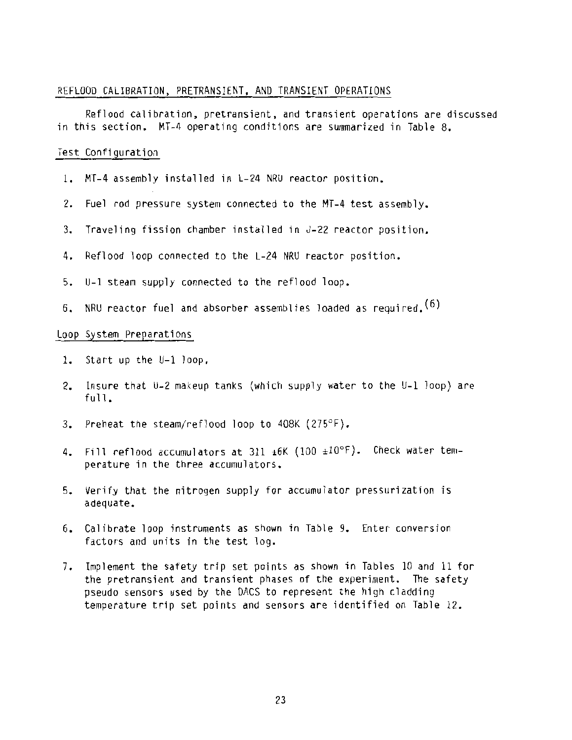#### REFLOOD CALIBRATION, PRETRANSIENT, AND TRANSIENT OPERATIONS

Reflood calibration, pretransient, and transient operations are discussed in this section. MT-4 operating conditions are summarized in Table 8.

#### Test Configuration

- 1. MT-4 assembly installed in L-24 NRU reactor position.
- 2. Fuel rod pressure system connected to the MT-4 test assembly.
- 3. Traveling fission chamber installed in J-22 reactor position.
- 4. Reflood loop connected to the L-24 NRU reactor position.
- 5. U-1 steam supply connected to the reflood loop.
- 6. NRU reactor fuel and absorber assemblies loaded as required.  $(6)$

#### Loop System Preparations

- 1. Start up the U-1 loop,
- 2. Insure that U-2 makeup tanks (which supply water to the U-1 loop) are full.
- 3. Preheat the steam/reflood loop to 408K (275°F).
- 4. Fill reflood accumulators at 311  $\pm$ 6K (100  $\pm$ 10°F). Check water temperature in the three accumulators.
- 5. Verify that the nitrogen supply for accumulator pressurization is adequate.
- 6. Calibrate loop instruments as shown in Table 9. Enter conversion factors and units in the test log.
- 7. Implement the safety trip set points as shown in Tables 10 and 11 for the pretransient and transient phases of the experiment. The safety pseudo sensors used by the DACS to represent the high cladding temperature trip set points and sensors are identified on Table 12.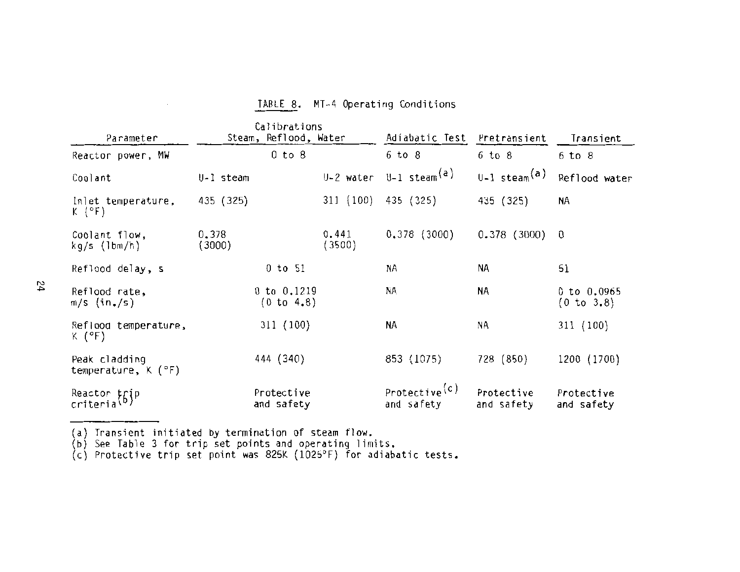## TABLE 8. MT-4 Operating Conditions

| Parameter                                           | Calibrations<br>Steam, Reflood, Water |                 | Adiabatic Test                          | Pretransient               | Transient                     |
|-----------------------------------------------------|---------------------------------------|-----------------|-----------------------------------------|----------------------------|-------------------------------|
| Reactor power, MW                                   | $0$ to $8$                            |                 | $6$ to $8$                              | $6$ to $8$                 | $6$ to $8$                    |
| Coolant                                             | U-1 steam                             | $U-2$ water     | $U-1$ steam <sup>(a)</sup>              | $U-1$ steam <sup>(a)</sup> | Reflood water                 |
| Inlet temperature,<br>K (°F)                        | 435 (325)                             | 311(100)        | 435 (325)                               | 435 (325)                  | NА                            |
| Coolant flow,<br>$kg/s$ ( $1bm/h$ )                 | 0.378<br>(3000)                       | 0.441<br>(3500) | $0.378$ (3000)                          | 0.378(3000)                | 0                             |
| Reflood delay, s                                    | $0$ to $51$                           |                 | NΑ                                      | NA                         | 51                            |
| Reflood rate,<br>m/s (in./s)                        | $0$ to $0.1219$<br>(0 to 4.8)         |                 | NA                                      | NА                         | $0$ to $0.0965$<br>(0 to 3.8) |
| Reflood temperature,<br>K (°F)                      | 311(100)                              |                 | NА                                      | ΝA                         | 311 (100)                     |
| Peak cladding<br>temperature, $K$ ( ${}^{\circ}F$ ) | 444 (340)                             |                 | 853 (1075)                              | 728 (850)                  | 1200 (1700)                   |
| Reactor trip<br>criteria <sup>(b)</sup>             | Protective<br>and safety              |                 | Protective <sup>(c)</sup><br>and safety | Protective<br>and safety   | Protective<br>and safety      |

(a) Transient initiated by termination of steam flow.

 $\sim$ 

(b) See Table 3 for trip set points and operating limits.

(c) Protective trip set point was 825K (1025°F} for adiabatic tests.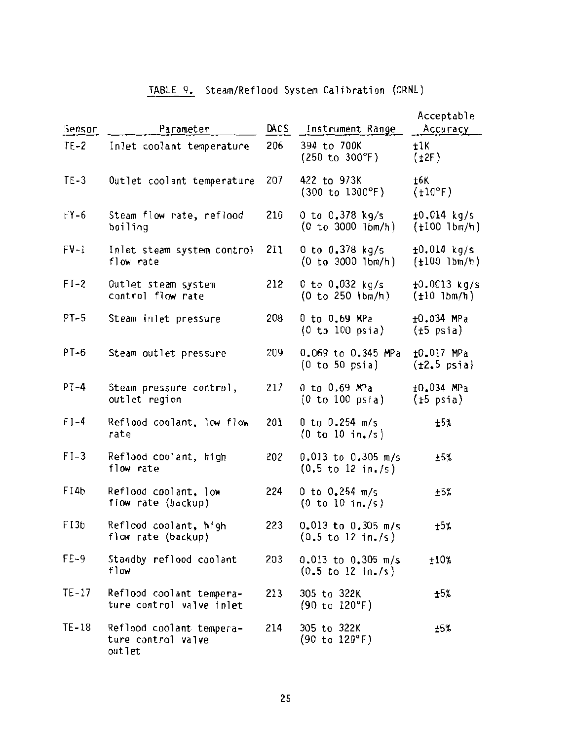| Sensor  | Parameter                                                | DACS | Instrument Range                                               | Acceptable<br>Accuracy                       |
|---------|----------------------------------------------------------|------|----------------------------------------------------------------|----------------------------------------------|
| $TE-2$  | Inlet coolant temperature                                | 206  | 394 to 700K<br>(250 to 300°F)                                  | $+1K$<br>(t2F)                               |
| $TE-3$  | Outlet coolant temperature                               | 207  | 422 to 973K<br>$(300 \text{ to } 1300^{\circ} \text{F})$       | ±6K<br>$(+10°F)$                             |
| $+Y-6$  | Steam flow rate, reflood<br>boiling                      | 210  | 0 to $0.378$ kg/s<br>(0 to 3000 lbm/h)                         | $±0.014$ kg/s<br>$(t100 \t1bm/h)$            |
| $FV-1$  | Inlet steam system control<br>flow rate                  | 211  | 0 to 0.378 kg/s<br>(0 to 3000 lbm/h)                           | $±0.014$ kg/s<br>$(\pm 100 \; \text{lbm/h})$ |
| $FI-2$  | Outlet steam system<br>control flow rate                 | 212  | 0 to 0.032 kg/s<br>(0 to 250 lbm/h)                            | $±0.0013$ kg/s<br>$(t10 \t1bm/h)$            |
| $PT-5$  | Steam inlet pressure                                     | 208  | 0 to 0.69 MPa<br>(0 to 100 psi)                                | ±0.034 MPa<br>$(t5 \text{ psia})$            |
| $PT-6$  | Steam outlet pressure                                    | 209  | 0.069 to 0.345 MPa<br>(0 to 50 psia)                           | $±0.017$ MPa<br>$(t2.5 \text{ psia})$        |
| $PT-4$  | Steam pressure control,<br>outlet region                 | 217  | 0 to 0.69 MPa<br>(0 to 100 psi)                                | $±0.034$ MPa<br>$(t5 \text{ psia})$          |
| $FI-4$  | Reflood coolant, low flow<br>rate                        | 201  | 0 to $0.254$ m/s<br>$(0 to 10 in.$ /s)                         | ±5%                                          |
| $FI-3$  | Reflood coolant, high<br>flow rate                       | 202  | $0.013$ to $0.305$ m/s<br>$(0.5 \text{ to } 12 \text{ in.}/s)$ | ±5%                                          |
| FI4b    | Reflood coolant, low<br>flow rate (backup)               | 224  | 0 to $0.254$ m/s<br>(0 to 10 in./s)                            | ±5%                                          |
| FI3b    | Reflood coolant, high<br>flow rate (backup)              | 223  | $0.013$ to $0.305$ m/s<br>$(0.5 \text{ to } 12 \text{ in.}/s)$ | $+5%$                                        |
| $FE-9$  | Standby reflood coolant<br>flow                          | 203  | $0.013$ to $0.305$ m/s<br>$(0.5 \text{ to } 12 \text{ in.}/s)$ | ±10%                                         |
| $TE-17$ | Reflood coolant tempera-<br>ture control valve inlet     | 213  | 305 to 322K<br>(90 to 120°F)                                   | ±5%                                          |
| TE-18   | Reflood coolant tempera-<br>ture control valve<br>outlet | 214  | 305 to 322K<br>$(90 to 120^{\circ}F)$                          | ±5%                                          |

# TABLE 9. **Steam/Reflood System Calibration** (CRNL)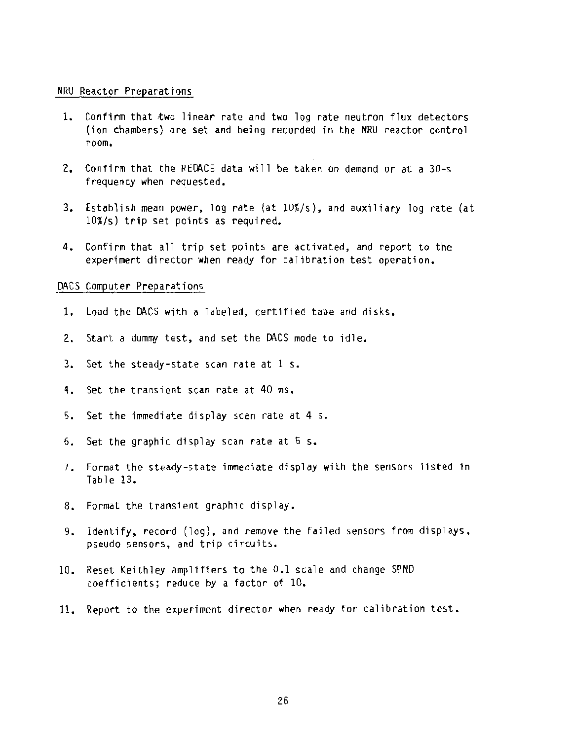#### NRU Reactor Preparations

- 1. Confirm that two linear rate and two log rate neutron flux detectors (ion chambers) are set and being recorded in the NRU reactor control room.
- 2. Confirm that the REDACE data will be taken on demand or at a 30-s frequency when requested.
- 3. Establish mean power, log rate (at 10%/s). and auxiliary log rate (at 10%/s) trip set points as required.
- 4. Confirm that all trip set points are activated, and report to the experiment director when ready for calibration test operation.

#### DACS Computer Preparations

- 1. Load the DACS with a labeled, certified tape and disks.
- 2. Start a dummy test, and set the DACS mode to idle.
- 3. Set the steady-state scan rate at I s.
- 4. Set the transient scan rate at 40 ms.
- 5. Set the immediate display scan rate at 4 s.
- 6. Set the graphic display scan rate at 5 s.
- 7. Format the steady-state immediate display with the sensors listed in Table 13.
- 8. Format the transient graphic display.
- 9. Identify, record (log), and remove the failed sensors from displays, pseudo sensors, and trip circuits.
- 10. Reset Keithley amplifiers to the 0.1 scale and change SPND coefficients; reduce by a factor of 10.
- 11. Report to the experiment director when ready for calibration test.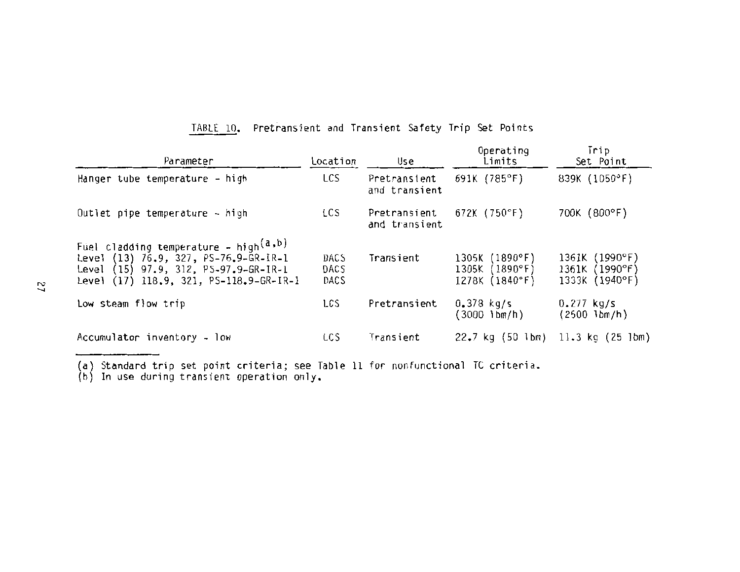| Parameter                                                                                                                                                                             | Location             | Use                           | Operating<br>Limits                                | Trip<br>Set Point                                           |
|---------------------------------------------------------------------------------------------------------------------------------------------------------------------------------------|----------------------|-------------------------------|----------------------------------------------------|-------------------------------------------------------------|
| Hanger tube temperature - high                                                                                                                                                        | LCS                  | Pretransient<br>and transient | 691K (785°F)                                       | 839K (1050°F)                                               |
| Outlet pipe temperature - high                                                                                                                                                        | LCS                  | Pretransient<br>and transient | 672K $(750^{\circ}F)$                              | 700K (800°F)                                                |
| Fuel cladding temperature - high $(a, b)$<br>$(13)$ 76.9, 327, PS-76.9-GR-IR-1<br>Level<br>$(15)$ 97.9, 312, PS-97.9-GR-IR-1<br>Level<br>$(17)$ 118.9, 321, PS-118.9-GR-IR-1<br>Level | DACS<br>DACS<br>DACS | Transient                     | 1305K (1890°F)<br>1305K (1890°F)<br>1278K (1840°F) | 1361K $(1990^{\circ}F)$<br>1361K (1990°F)<br>1333K (1940°F) |
| Low steam flow trip                                                                                                                                                                   | LCS                  | Pretransient                  | $0.378$ kg/s<br>(3000 lbm/h)                       | $0.277$ kg/s<br>$(2500 \;1bm/h)$                            |
| Accumulator inventory - low                                                                                                                                                           | <b>LCS</b>           | Transient                     | $22.7$ kg $(50 \text{ lbm})$                       | $11.3 \text{ kg}$ (25 lbm)                                  |

## TABLE 10. Pretransient and Transient Safety Trip Set Po1nts

(a) Standard trip set point criteria; see Table 11 for nonfunctional TC criteria.

(b) In use during transient operation only.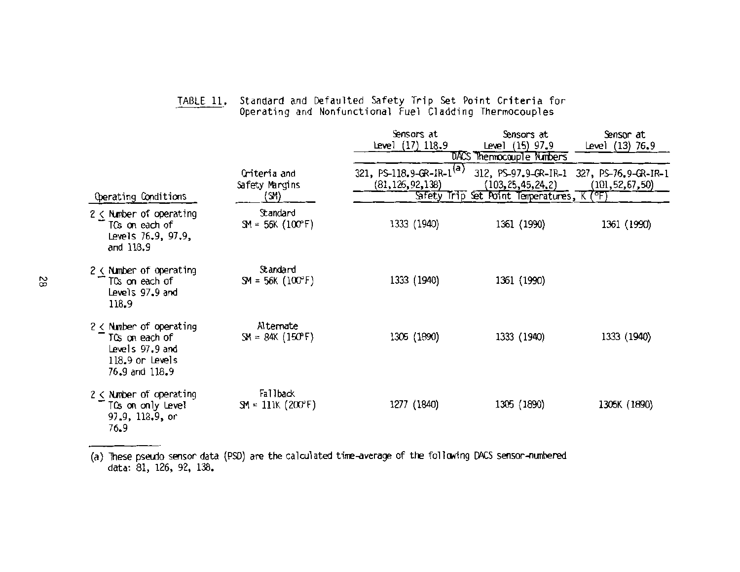| TABLE 11. Standard and Defaulted Safety Trip Set Point Criteria for |
|---------------------------------------------------------------------|
| Operating and Nonfunctional Fuel Cladding Thermocouples             |

|                                                                                                       |                                        | Sensors at<br>Level (17) 118.9                             | Sensors at<br>Level (15) 97.9                                                                                           | Sensor at<br>Level (13) 76.9              |
|-------------------------------------------------------------------------------------------------------|----------------------------------------|------------------------------------------------------------|-------------------------------------------------------------------------------------------------------------------------|-------------------------------------------|
| Operating Conditions                                                                                  | Criteria and<br>Safety Margins<br>(SM) | 321, PS-118.9-GR-IR-1 <sup>(a)</sup><br>(81, 126, 92, 138) | DACS Thermocouple Numbers<br>312, PS-97.9-GR-IR-1<br>(103, 25, 45, 24, 2)<br>Safety Trip Set Point Temperatures, K (°F) | 327, PS-76.9-GR-IR-1<br>(101, 52, 67, 50) |
| $2 <$ Number of operating<br>TCs on each of<br>Levels 76.9, 97.9,<br>and 118.9                        | Standard<br>$SM = 56K (100^{\circ}F)$  | 1333 (1940)                                                | 1361 (1990)                                                                                                             | 1361 (1990)                               |
| $2 <$ Number of operating<br>TCs on each of<br>Levels 97.9 and<br>118.9                               | Standard<br>$SM = 56K (100^{\circ}F)$  | 1333 (1940)                                                | 1361 (1990)                                                                                                             |                                           |
| $2 <$ Number of operating<br>TCs on each of<br>Levels 97.9 and<br>$118.9$ or Levels<br>76.9 and 118.9 | Al temate<br>$SM = 84K (150^{\circ}F)$ | 1305 (1890)                                                | 1333 (1940)                                                                                                             | 1333 (1940)                               |
| $2 <$ Number of operating<br>TCs on only Level<br>97.9, 118.9, or<br>76.9                             | Fallback<br>$SM = 111K (200^{\circ}F)$ | 1277 (1840)                                                | 1305 (1890)                                                                                                             | 1305K (1890)                              |

(a) These pseudo sensor data (PSD) are the calculated time-average of the following DACS sensor-numbered data: 81, 126, 92, 138.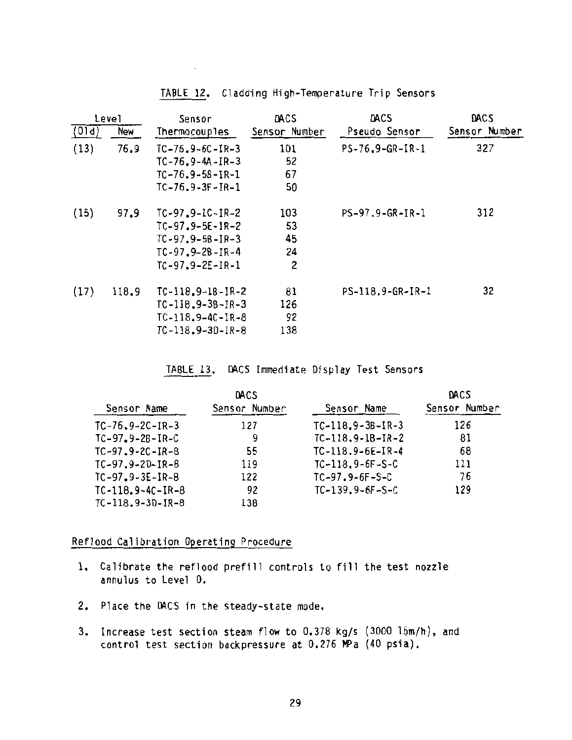| (01d) | Level<br>New | Sensor<br>Thermocouples | DACS<br>Sensor Number | DACS<br>Pseudo Sensor | DACS<br>Sensor Number |
|-------|--------------|-------------------------|-----------------------|-----------------------|-----------------------|
| (13)  | 76.9         | $TC-76.9-6C-IR-3$       | 101                   | $PS-76.9-GR-IR-1$     | 327                   |
|       |              | $TC-76.9-4A-IR-3$       | 52                    |                       |                       |
|       |              | $TC-76.9-5B-IR-1$       | 67                    |                       |                       |
|       |              | $TC-76.9-3F-IR-1$       | 50                    |                       |                       |
| (15)  | 97.9         | $TC-97.9-1C-IR-2$       | 103                   | $PS-97.9-GR-IR-1$     | 312                   |
|       |              | $TC-97.9-5E-1R-2$       | 53                    |                       |                       |
|       |              | $TC-97.9-5B-IR-3$       | 45                    |                       |                       |
|       |              | $TC-97.9-2B-IR-4$       | 24                    |                       |                       |
|       |              | $TC-97.9-2E-IR-1$       | 2                     |                       |                       |
| (17)  | 118.9        | $TC-118.9-1B-IR-2$      | 81                    | PS-118.9-GR-IR-1      | 32                    |
|       |              | $TC-118.9-3B-IR-3$      | 126                   |                       |                       |
|       |              | $TC-118.9-4C-IR-8$      | 92                    |                       |                       |
|       |              | $TC-118.9-3D-IR-8$      | 138                   |                       |                       |

TABLE 12. **Cladding High-Temperature Trip Sensors** 

TABLE 13. **OACS Immediate Display Test Sensors** 

|                    | DACS          |                    | DACS          |
|--------------------|---------------|--------------------|---------------|
| Sensor Name        | Sensor Number | Sensor Name        | Sensor Number |
| $TC-76.9-2C-IR-3$  | 127           | $TC-118.9-3B-IR-3$ | 126           |
| $TC-97.9-2B-IR-C$  | 9             | $TC-118.9-1B-IR-2$ | 81            |
| $TC-97.9-2C-IR-8$  | 55            | $TC-118.9-6E-IR-4$ | 68            |
| $TC-97.9-2D-IR-8$  | 119           | $TC-118.9-6F-S-C$  | 111           |
| $TC-97.9-3E-IR-8$  | 122           | $TC-97.9-6F-S-C$   | 76            |
| $TC-118.9-4C-IR-8$ | 92            | $TC-139.9-6F-S-C$  | 129           |
| TC-118.9-3D-IR-8   | 138           |                    |               |

## **Reflood Calibration Operating Procedure**

- **1. Calibrate the reflood prefill controls to fill the test nozzle annulus to Level 0.**
- 2. Place the DACS in the steady-state mode.
- 3. Increase test section steam flow to 0.378 kg/s (3000 lbm/h), and control test section backpressure at 0,276 MPa (40 psia).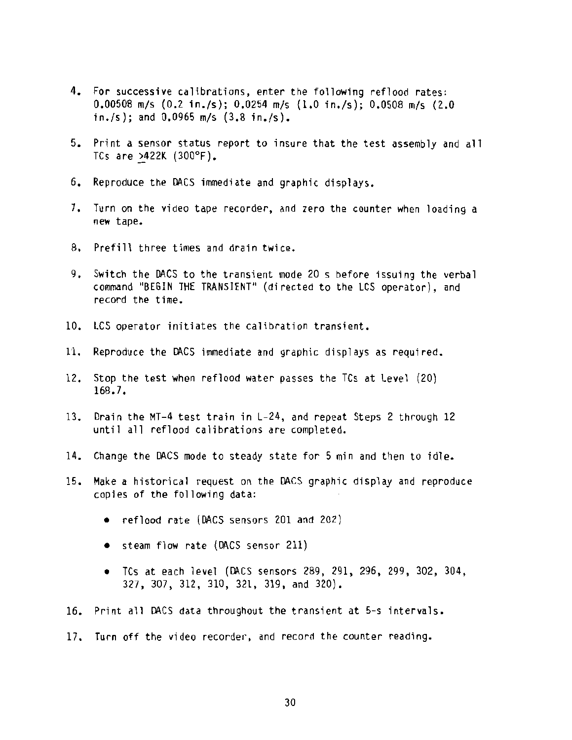- 4. For successive calibrations, enter the following reflood rates: 0,00508 m/s (0,2 in./s); 0,0254 m/s (1.0 in./s); 0,0508 m/s (2.0 in./s); and  $0.0965$  m/s  $(3.8$  in./s).
- 5. Print a sensor status report to insure that the test assembly and all TCs are >422K (300°F).
- 6. Reproduce the OACS immediate and graphic displays.
- 7. Turn on the video tape recorder, and zero the counter when loading a new tape.
- 8. Prefill three times and drain twice.
- 9. Switch the OACS to the transient mode 20 s before issuing the verbal command "BEGIN THE TRANSIENT" (directed to the LCS operator), and record the time.
- 10. LCS operator initiates the calibration transient.
- 11. Reproduce the OACS immediate and graphic displays as required.
- 12, Stop the test when reflood water passes the TCs at Level (20) 168. 7.
- 13. Drain the MT-4 test train in L-24, and repeat Steps 2 through 12 until all reflood calibrations are completed.
- 14. Change the OACS mode to steady state for 5 min and then to idle.
- 15. Make a historical request on the DACS graphic display and reproduce copies of the following data:
	- reflood rate (DACS sensors 201 and 202)
	- steam flow rate (DACS sensor 211)
	- TCs at each level (OACS sensors 289, 291, 296, 299, 302, 304, 327, 307, 312, 310, 321, 319, and 320).
- 16. Print all DACS data throughout the transient at 5-s intervals.

17. Turn off the video recorder, and record the counter reading.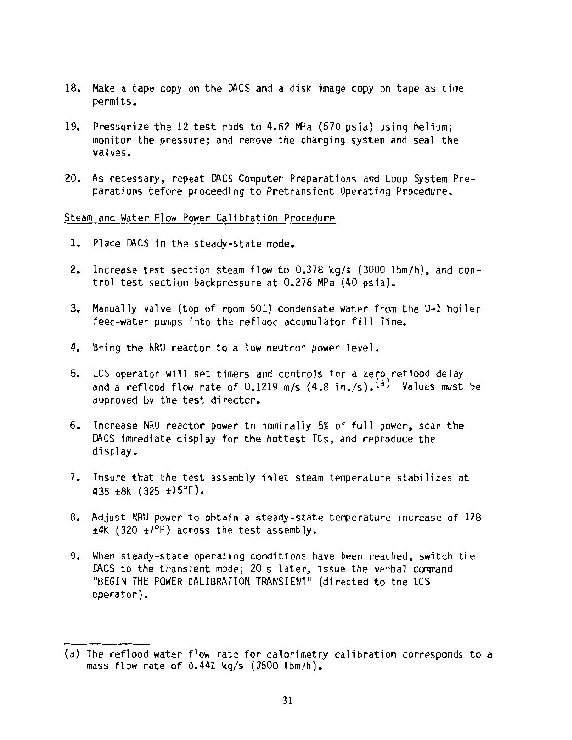- 18. Make a tape copy on the OACS and a disk image copy on tape as time permits.
- 19. Pressurize the 12 test rods to 4.62 MPa (670 psia) using helium; monitor the pressure; and remove the charging system and seal the valves.
- 20. As necessary, repeat DACS Computer Preparations and Loop System Preparations before proceeding to Pretransient Operating Procedure.

Steam and Water Flow Power Calibration Procedure

- 1. Place DACS in the steady-state mode.
- 2. Increase test section steam flow to 0.378 kg/s (3000 lbm/h), and control test section backpressure at 0.276 MPa (40 psia).
- 3. Manually valve (top of room 501) condensate water from the U-1 boiler feed-water pumps into the reflood accumulator fill line.
- 4. Bring the NRU reactor to a low neutron power level.
- 5. LCS operator will set timers and controls for a zero reflood delay and a reflood flow rate of  $0.1219$  m/s  $(4.8$  in./s). $(a)$  Values must be approved by the test director.
- 6. Increase NRU reactor power to nominally 5% of full power, scan the DACS immediate display for the hottest TCs, and reproduce the display.
- 7. Insure that the test assembly inlet steam temperature stabilizes at 435  $+8K$  (325  $+15^{\circ}F$ ).
- 8. Adjust NRU power to obtain a steady-state temperature increase of 178 ±4K (320 ±7°F) across the test assembly.
- 9. When steady-state operating conditions have been reached, switch the DACS to the transient mode; 20 s later, issue the verbal command "BEGIN THE POWER CALIBRATION TRANSIENT" (directed to the LCS operator).

<sup>(</sup>a) The reflood water flow rate for calorimetry calibration corresponds to a mass flow rate of  $0.441$  kg/s  $(3500 \text{ lbm/h})$ .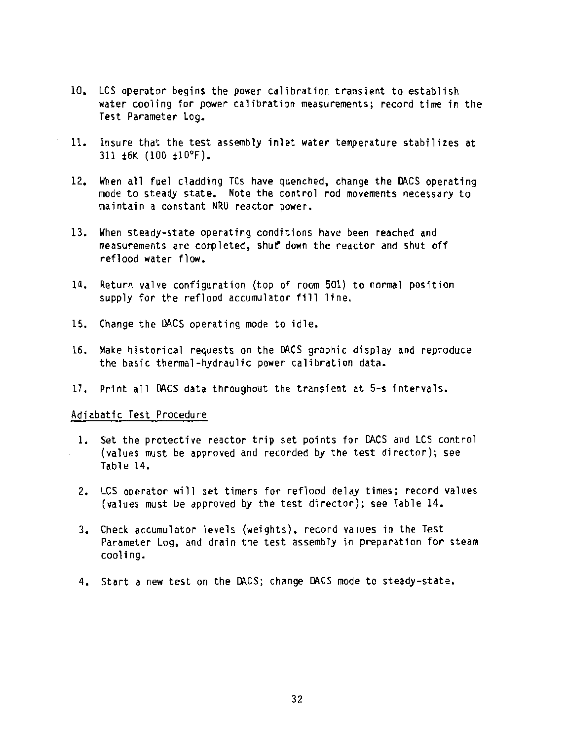- 10. LCS operator begins the power calibration transient to establish water cooling for power calibration measurements; record time in the Test Parameter Log.
- 11. Insure that the test assembly inlet water temperature stabilizes at 311 t6K (100 ±10'F).
- 12. When all fuel cladding TCs have quenched, change the DACS operating mode to steady state. Note the control rod movements necessary to maintain a constant NRU reactor power.
- 13. When steady-state operating conditions have been reached and measurements are completed, shut down the reactor and shut off reflood water flow.
- 14. Return valve configuration (top of room 501) to normal position supply for the reflood accumulator fill line.
- 15. Change the DACS operating mode to idle.
- 16. Make historical requests on the MCS graphic display and reproduce the basic thermal-hydraulic power calibration data.
- 17. Print all DACS data throughout the transient at 5-s intervals.

#### Adiabatic Test Procedure

- 1. Set the protective reactor trip set points for DACS and LCS control (values must be approved and recorded by the test director); see Table 14.
- 2. LCS operator will set timers for reflood delay times; record values (values must be approved by the test director); see Table 14.
- 3. Check accumulator levels (weights), record values in the Test Parameter Log, and drain the test assembly in preparation for steam cooling.
- 4. Start a new test on the DACS; change DACS mode to steady-state.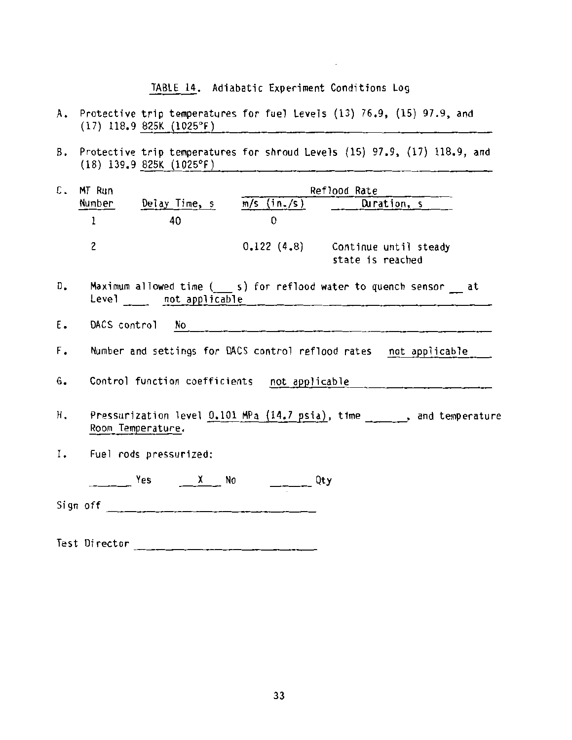### TABLE 14. Adiabatic Experiment Conditions Log

- A. Protective trip temperatures for fuel Levels (13) 76.9, (15) 97.9, and (17) 11B.9 825K (1025'F)
- B. Protective trip temperatures for shroud Levels (15) 97.9, (17) 118.9, and  $(18)$  139.9 825K  $(1025^{\circ}F)$

| C.            | MT Run         |                                                     |     | Reflood Rate                                                                                                                                                                              |  |  |
|---------------|----------------|-----------------------------------------------------|-----|-------------------------------------------------------------------------------------------------------------------------------------------------------------------------------------------|--|--|
|               |                |                                                     |     | Number Delay Time, s m/s (in./s) Duration, s                                                                                                                                              |  |  |
|               | $\mathbf{1}$   | 40                                                  | 0   |                                                                                                                                                                                           |  |  |
|               | $\overline{c}$ |                                                     |     | $0.122$ $(4.8)$ Continue until steady<br>state is reached                                                                                                                                 |  |  |
| D.            |                | Level not applicable                                |     | Maximum allowed time $($ s) for reflood water to quench sensor  at<br>and the contract of the contract of the contract of the contract of the contract of the contract of the contract of |  |  |
| Ε.            |                | DACS control No $\cdots$ $\cdots$ $\cdots$ $\cdots$ |     |                                                                                                                                                                                           |  |  |
| $F_{\bullet}$ |                |                                                     |     | Number and settings for DACS control reflood rates not applicable                                                                                                                         |  |  |
|               |                |                                                     |     | G. Control function coefficients not applicable                                                                                                                                           |  |  |
| Η.            |                | Room Temperature.                                   |     | Pressurization level 0.101 MPa (14.7 psia), time ______, and temperature                                                                                                                  |  |  |
|               |                | I. Fuel rods pressurized:                           |     |                                                                                                                                                                                           |  |  |
|               |                | Yes X No                                            | Qty |                                                                                                                                                                                           |  |  |
|               |                |                                                     |     |                                                                                                                                                                                           |  |  |

**Test Director** ------------------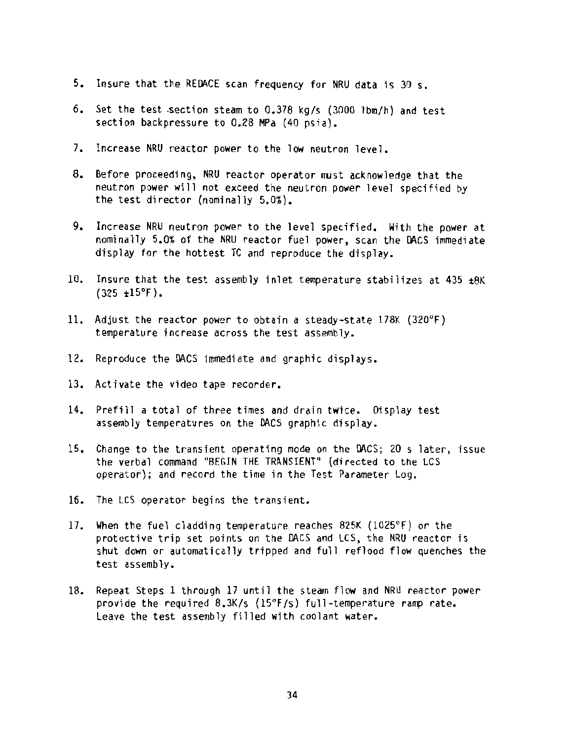- 5. Insure that the REDACE scan frequency for NRU data is 30 s.
- 6. Set the test .section steam to 0.378 kg/s (3000 lbm/h) and test section backpressure to 0.28 MPa (40 psia).
- 7. Increase NRU reactor power to the low neutron level.
- 8. Before proceeding, NRU reactor operator must acknowledge that the neutron power will not exceed the neutron power level specified by the test director (nominally 5.0%).
- 9. Increase NRU neutron power to the level specified. With the power at nominally 5.0% of the NRU reactor fuel power, scan the OACS immediate display for the hottest TC and reproduce the display.
- 10. Insure that the test assembly inlet temperature stabilizes at  $435 \pm 8k$  $(325 \pm 15^{\circ}F)$ .
- 11. Adjust the reactor power to obtain a steady-state 178K (320°F) temperature increase across the test assembly.
- 12. Reproduce the DACS immediate and graphic displays.
- 13. Activate the video tape recorder.
- 14. Prefill a total of three times and drain twice. Display test assembly temperatures on the OACS graphic display.
- 15. Change to the transient operating mode on the OACS; 20 s later, issue the verbal command "BEGIN THE TRANSIENT" (directed to the LCS operator); and record the time in the Test Parameter Log.
- 16. The LCS operator begins the transient.
- 17. When the fuel cladding temperature reaches 825K (1025°F) or the protective trip set points on the OACS and LCS, the NRU reactor is shut down or automatically tripped and full reflood flow quenches the test assembly.
- 18. Repeat Steps 1 through 17 until the steam flow and NRU reactor power provide the required 8.3K/s {15°F/s) full-temperature ramp rate. leave the test assembly filled with coolant water.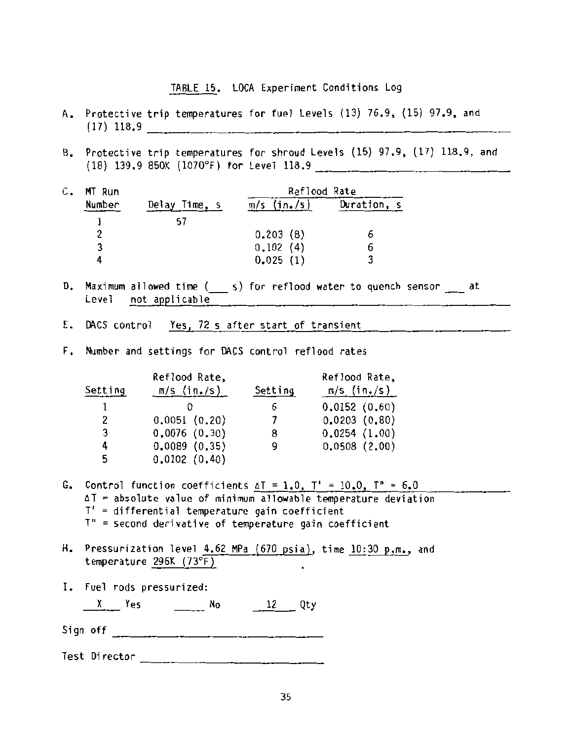TABLE 15. LOCA Experiment Conditions Log

- A. Protective trip temperatures for fuel Levels (13) 76.9, (15) 97.9, and (17) 118.9
- B. Protective trip temperatures for shroud Levels (15) 97.9, (17) 118.9, and (18) 139.9 850K (1070°F) for Level 118.9

| c. | MT Run |               | Reflood Rate  |             |  |  |
|----|--------|---------------|---------------|-------------|--|--|
|    | Number | Delay Time, s | $m/s$ (in./s) | Duration, s |  |  |
|    |        | 57            |               |             |  |  |
|    | 2      |               | 0.203(8)      |             |  |  |
|    | 3      |               | 0.102(4)      |             |  |  |
|    |        |               | 0.025(1)      |             |  |  |

- D. Maximum allowed time (\_\_\_\_\_s) for reflood water to quench sensor <u>\_\_</u>\_\_\_ at **Level not** applicable **1.1 in the case of the case of the case of the cable of the cable**  $\alpha$
- **L DACS control Yes,** 72 s **after start of transient**
- **F. Number and settings for OACS control reflood rates**

|         | Reflood Rate,     |         | Reflood Rate,     |
|---------|-------------------|---------|-------------------|
| Setting | $m/s$ (in./s)     | Setting | $m/s$ (in./s)     |
|         |                   | 6       | 0.0152(0.60)      |
| 2       | 0.0051(0.20)      | 7       | $0,0203$ $(0,80)$ |
| 3       | $0.0076$ $(0.30)$ | 8       | 0.0254(1.00)      |
| 4       | 0.0089(0.35)      | 9       | 0,0508(2,00)      |
| 5       | 0.0102(0.40)      |         |                   |

- G. Control function coefficients  $\Delta T = 1.0$ ,  $T' = 10.0$ ,  $T'' = 6.0$ **6T =absolute value of minimum allowable temperature deviation r• = differential temperature gain coefficient T" =second derivative of temperature gain coefficient**
- H. **Pressurization level** 4.62 MPa (670 **es i a}'** time 10:30 **e .m.'** and **temperature 296K** (7JOF)
- I. **Fuel rods pressurized:**   $X = Yes$  No  $12$  Qty Sign off

Test **Director**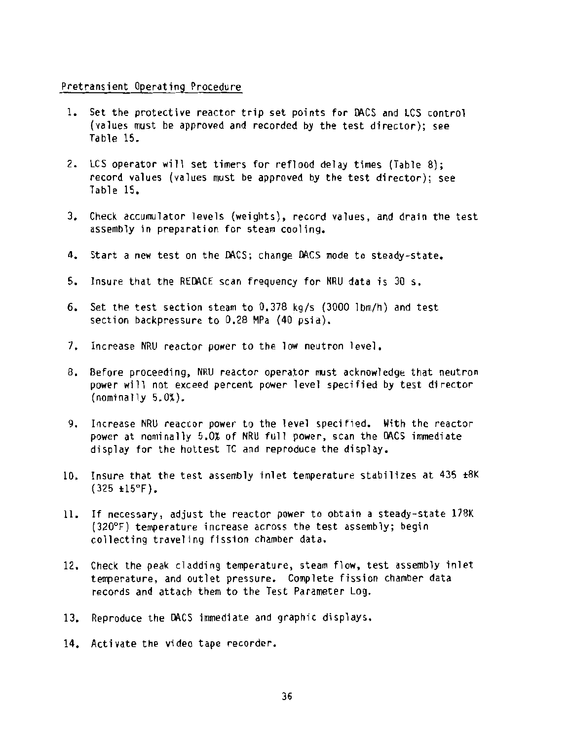#### Pretransient Operating Procedure

- 1. Set the protective reactor trip set points for OACS and LCS control (values must be approved and recorded by the test director}; see Table 15.
- 2. LCS operator will set timers for reflood delay times (Table 8}; record values (values must be approved by the test director}; see Table 15.
- 3. Check accumulator levels (weights}, record values, and drain the test assembly in preparation for steam cooling.
- 4. Start a new test on the DACS; change OACS mode to steady-state.
- 5. Insure that the REOACE scan frequency for NRU data is 30 s.
- 6. Set the test section steam to 0.378 kg/s (3000 lbm/h) and test section backpressure to 0.28 MPa (40 psia).
- 7. Increase NRU reactor power to the low neutron level.
- *B.* Before proceeding, NRU reactor operator must acknowledge that neutron power will not exceed percent power level specified by test director (nominally 5.0%).
- 9. Increase NRU reactor power to the level specified. With the reactor power at nominally 5.0% of NRU full power, scan the OACS immediate display for the hottest TC and reproduce the display.
- 10. Insure that the test assembly inlet temperature stabilizes at 435 ±SK  $(325 + 15^{\circ}F)$ .
- 11. If necessary, adjust the reactor power to obtain a steady-state 178K (320°F) temperature increase across the test assembly; begin collecting traveling fission chamber data.
- 12. Check the peak cladding temperature, steam flow, test assembly inlet temperature, and outlet pressure. Complete fission chamber data records and attach them to the Test Parameter Log.
- 13. Reproduce the DACS immediate and graphic displays.
- 14. Activate the video tape recorder.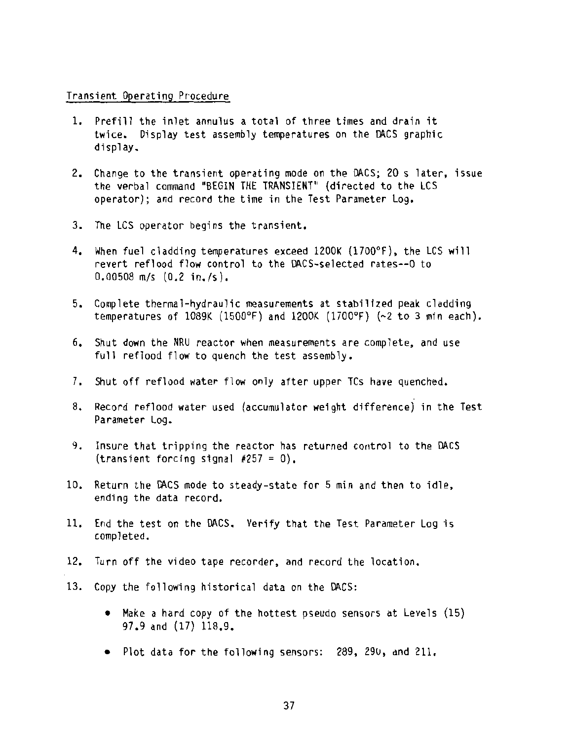#### **Transient Operating Procedure**

- **1. Prefill the inlet annulus a total of three times and drain it twice. Display test assembly temperatures on the DACS graphic**  display.
- **2. Change to the transient operating mode on the DACS; 20 s later, issue**  the verbal command "BEGIN THE TRANSIENT" (directed to the LCS **operator); and record the time in the Test Parameter Log.**
- **3. The LCS operator begins the transient.**
- 4. When fuel cladding temperatures exceed 1200K (1700°F), the LCS will **revert reflood flow control to the DACS-selected rates--0 to**  0.00508 m/s (0.2 in./s).
- **5. Complete thermal-hydraulic measurements at stabilized peak cladding**  temperatures of 1089K (1500'F) and 1200K (1700'F) (-2 to 3 min each).
- **6. Shut down the NRU reactor when measurements are complete, and use**  full reflood flow to quench the test assembly.
- **7. Shut off reflood water flow only after upper TCs have quenched.**
- **8. Record reflood water used (accumulator weight difference) in the Test Parameter Log.**
- **9. Insure that tripping the reactor has returned control to the DACS**  (transient forcing signal  $#257 = 0$ ).
- 10. Return the OACS mode to steady-state for 5 min and then to idle, **ending the data record.**
- **11. End the test on the DACS. Verify that the Test Parameter Log is completed.**
- **12. Turn off the video tape recorder, and record the location.**
- 13. Copy the following historical data on the OACS:
	- Make a hard copy of the hottest pseudo sensors at Levels (15) 97.9 and (17) 118.9.
	- **Plot data for the following sensors: 289, 29u, dnd 211.**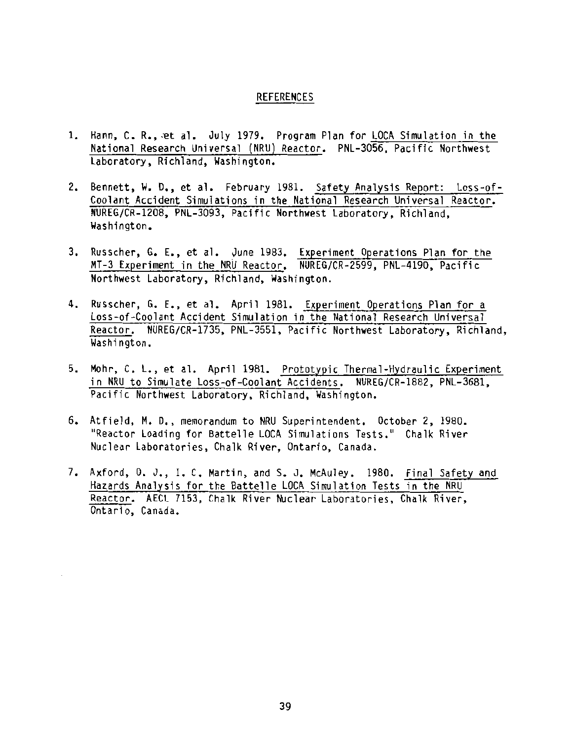#### REFERENCES

- 1. Hann. C. R., et al. July 1979. Program Plan for LOCA Simulation in the National Research Universal (NRU) Reactor. PNL-3056, Pacific Northwest Laboratory, Richland, Washington.
- 2. Bennett, W. D., et al. February 1981. Safety Analysis Report: Loss-of-Coolant Accident Simulations in the National Research Universal Reactor. NUREG/CR-1208, PNL-3093, Pacific Northwest Laboratory, Richland, Washington.
- 3. Russcher, G. E., et al. June 1983. Experiment Operations Plan for the MT-3 Experiment in the NRU Reactor. NUREG/CR-2599, PNL-4190, Pacific Northwest Laboratory, Richland, Washington.
- 4. Russcher, G. E., et al. April 1981. Experiment Operations Plan for a Loss-of-Coolant Accident Simulation in the National Research Universal Reactor. NUREG/CR-1735, PNL-3551, Pacific Northwest Laboratory, Richland, Washington.
- 5. Mohr, C. L., et al. April 1981. Prototypic Thermal-Hydraulic Experiment in NRU to Simulate Loss-of-Coolant Accidents. NUREG/CR-1882, PNL-3681, Pacific Northwest Laboratory, Richland, Washington.
- 6. Atfield, M. D., memorandum to NRU Superintendent. October 2, 1980.<br>"Reactor Loading for Battelle LOCA Simulations Tests." Chalk River Nuclear Laboratories, Chalk River, Ontario, Canada.
- 7. Axford, D. J., !, C. Martin, and S. J. McAuley, 1980. Final Safety and Hazards Analysis for the Battelle LOCA Simulation Tests in the NRU Reactor. AECL 7153, Chalk River Nuclear Laboratories, Chalk River, Ontario, Canada.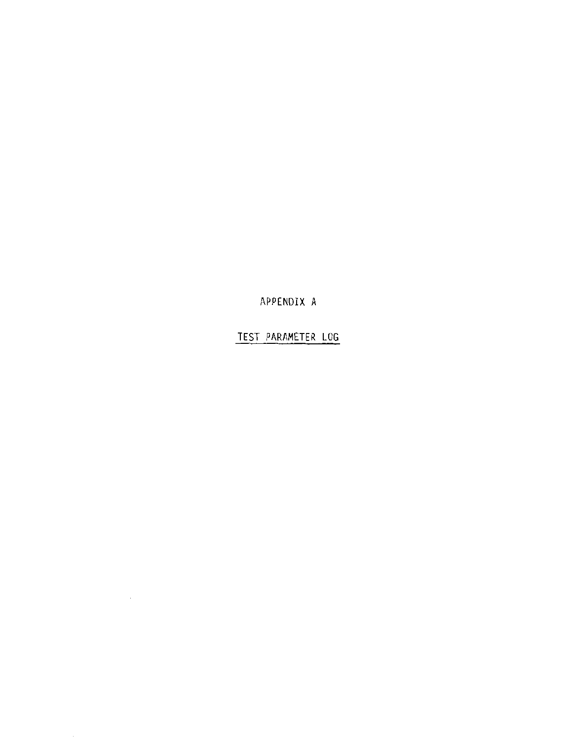APPENDIX A

TEST PARAMETER LOG

 $\sim$   $\sim$ 

 $\sim$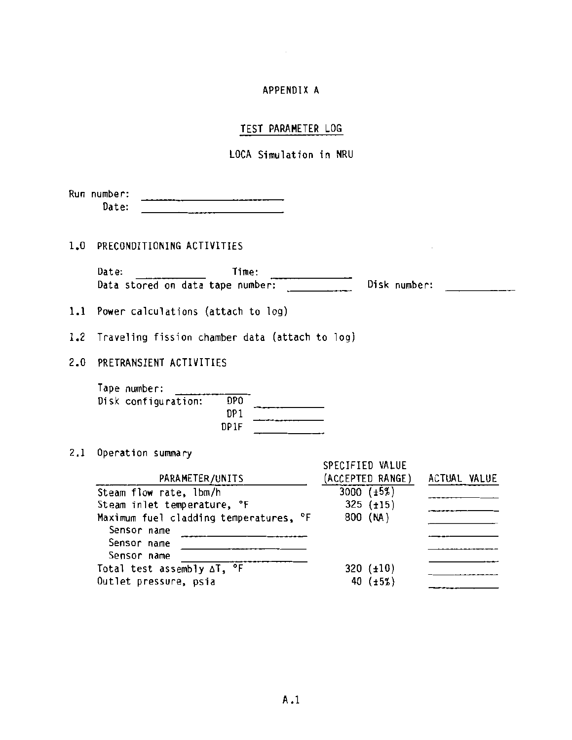# APPENDIX A

 $\mathcal{L}^{\text{max}}_{\text{max}}$ 

# TEST PARAMETER LOG

## LOCA Simulation in NRU

|     | Run number:<br>Date:                                                                            |                    |              |
|-----|-------------------------------------------------------------------------------------------------|--------------------|--------------|
|     | 1.0 PRECONDITIONING ACTIVITIES                                                                  |                    |              |
|     | Time:<br>Date:<br>Data stored on data tape number:                                              | Disk number:       |              |
|     | 1.1 Power calculations (attach to log)                                                          |                    |              |
| 1.2 | Traveling fission chamber data (attach to log)                                                  |                    |              |
| 2.0 | PRETRANSIENT ACTIVITIES                                                                         |                    |              |
|     | Tape number:<br>Disk configuration:<br>DPO.<br>DP <sub>1</sub><br>DP <sub>1F</sub>              |                    |              |
| 2.1 | Operation summary                                                                               | SPECIFIED VALUE    |              |
|     | PARAMETER/UNITS                                                                                 | (ACCEPTED RANGE)   | ACTUAL VALUE |
|     | Steam flow rate, lbm/h                                                                          | 3000 $(+5%)$       |              |
|     | Steam inlet temperature, °F                                                                     | $325$ ( $\pm 15$ ) |              |
|     | Maximum fuel cladding temperatures, <sup>o</sup> F<br>Sensor name<br>Sensor name<br>Sensor name | 800 (NA)           |              |
|     | Total test assembly AT, <sup>o</sup> F                                                          | 320 $(\pm 10)$     |              |
|     | Outlet pressure, psia                                                                           | $40(15\%)$         |              |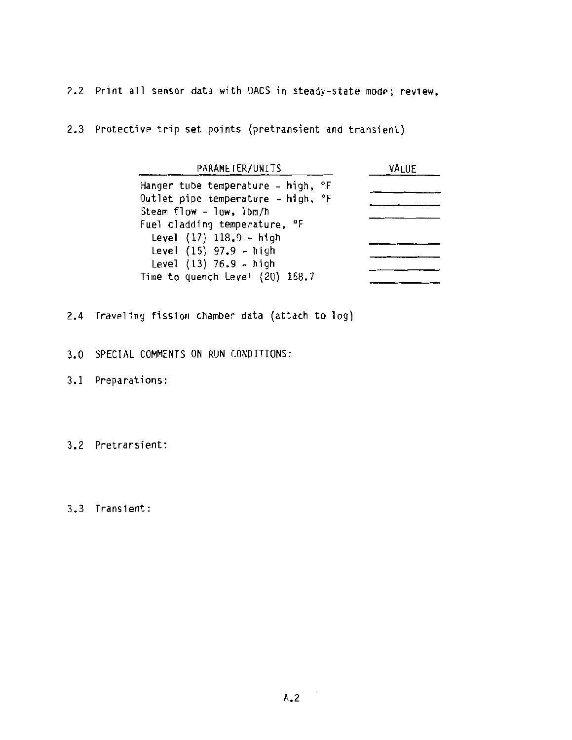2.2 **Print all sensor data with DACS in steady-state mode; review.** 

2.3 **Protective trip set points (pretransient and transient)** 

| PARAMETER/UNITS                                | VALUE |
|------------------------------------------------|-------|
| Hanger tube temperature - high, <sup>o</sup> F |       |
| Outlet pipe temperature - high, °F             |       |
| Steam flow $-$ low, $1bm/h$                    |       |
| Fuel cladding temperature, °F                  |       |
| Level $(17)$ $118.9 - high$                    |       |
| Level (15) 97.9 - high                         |       |
| Level (13) 76.9 - high                         |       |
| Time to quench Level (20) 168.7                |       |

**2.4 Traveling fission chamber data (attach to log)** 

3.0 SPECIAL COMMENTS ON RUN CONDITIONS:

3.1 **Preparations:** 

3.2 **Pretransient:** 

3.3 **Transient:**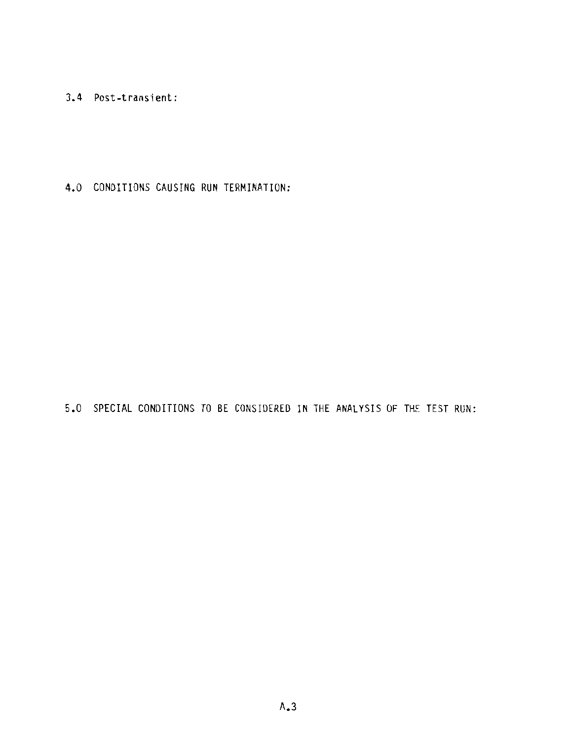3.4 **Post-transient:** 

4.0 CONDITIONS CAUSING RUN TERMINATION:

5.0 SPECIAL CONDITIONS TO BE CONSIDERED IN THE ANALYSIS OF THE TEST RUN: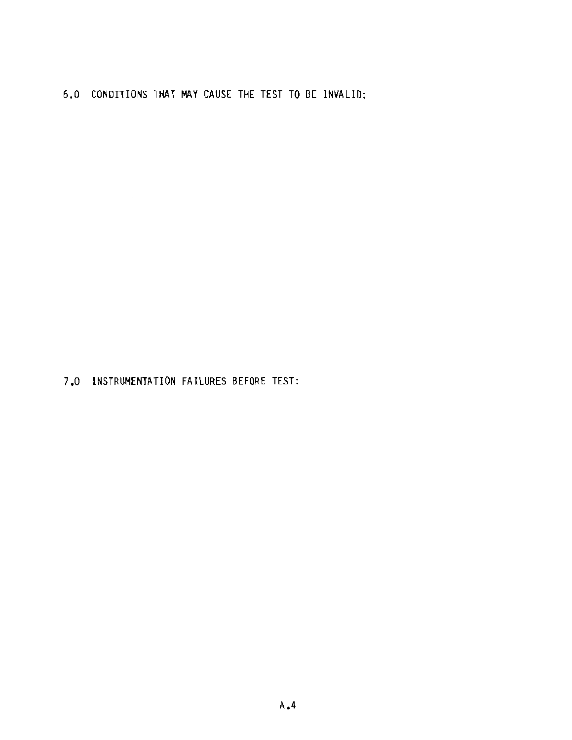6.0 CONDITIONS THAT MAY CAUSE THE TEST TO BE INVALID:

7.0 INSTRUMENTATION FAILURES BEFORE TEST:

 $\sim 10^{-1}$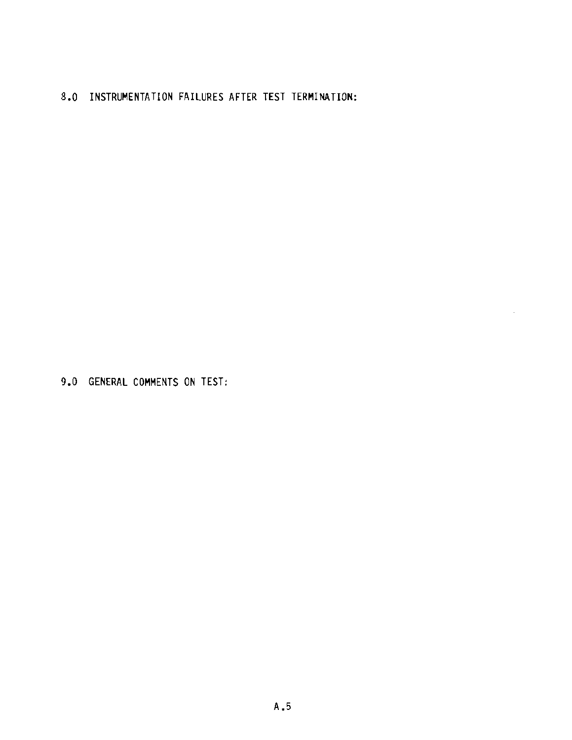## 8.0 INSTRUMENTATION FAILURES AFTER **TEST** TERMINATION:

9.0 GENERAL COMMENTS ON TEST:

 $\mathcal{L}_{\mathcal{A}}$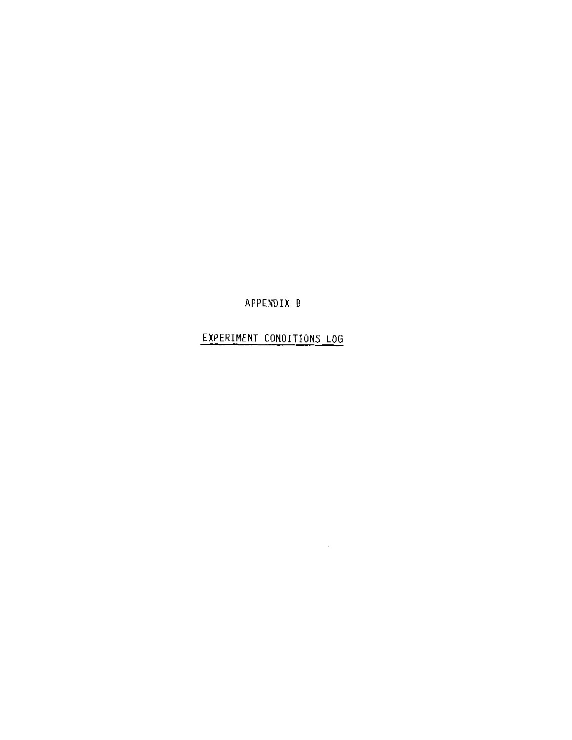APPENDIX B

EXPERIMENT CONDITIONS LOG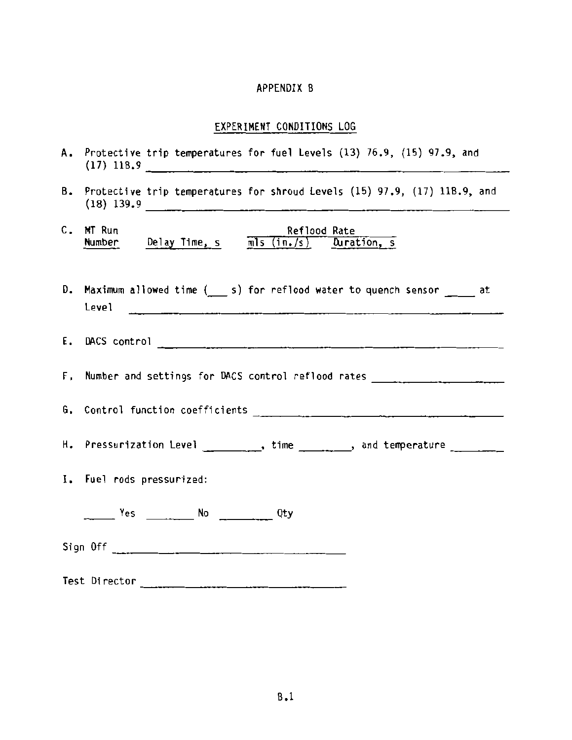## APPENDIX B

# EXPERIMENT CONDITIONS LOG

| A. Protective trip temperatures for fuel Levels (13) 76.9, (15) 97.9, and<br>$(17)$ 118.9 |  |
|-------------------------------------------------------------------------------------------|--|
| B. Protective trip temperatures for shroud Levels (15) 97.9, (17) 11B.9, and              |  |
| C. MT Run<br>Reflood Rate<br>Number Delay Time, s mls (in./s) Duration, s                 |  |
| D. Maximum allowed time ( ___ s) for reflood water to quench sensor _____ at              |  |
|                                                                                           |  |
| F. Number and settings for DACS control reflood rates __________________________          |  |
|                                                                                           |  |
| H. Pressurization Level __________, time _________, and temperature __________            |  |
| I. Fuel rods pressurized:                                                                 |  |
|                                                                                           |  |
|                                                                                           |  |
| Test Director                                                                             |  |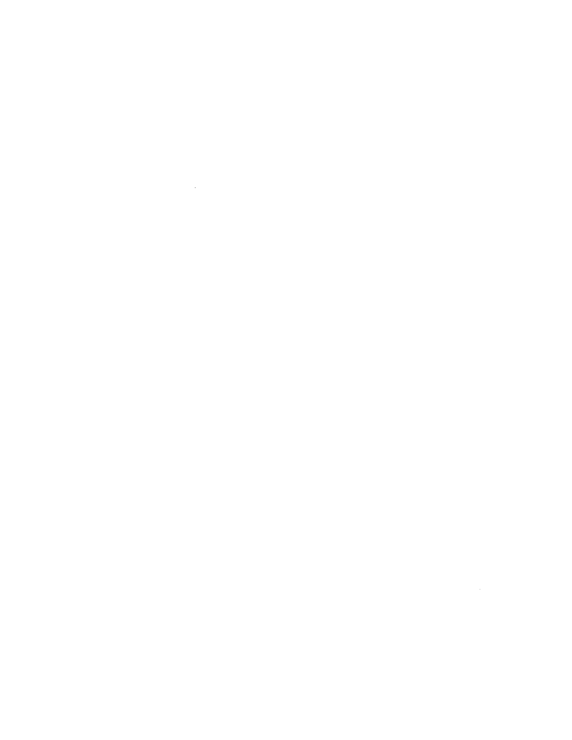$\label{eq:2.1} \frac{1}{\sqrt{2}}\left(\frac{1}{\sqrt{2}}\right)^{2} \left(\frac{1}{\sqrt{2}}\right)^{2} \left(\frac{1}{\sqrt{2}}\right)^{2} \left(\frac{1}{\sqrt{2}}\right)^{2} \left(\frac{1}{\sqrt{2}}\right)^{2} \left(\frac{1}{\sqrt{2}}\right)^{2} \left(\frac{1}{\sqrt{2}}\right)^{2} \left(\frac{1}{\sqrt{2}}\right)^{2} \left(\frac{1}{\sqrt{2}}\right)^{2} \left(\frac{1}{\sqrt{2}}\right)^{2} \left(\frac{1}{\sqrt{2}}\right)^{2} \left(\$ 

 $\mathcal{L}^{\text{max}}_{\text{max}}$  and  $\mathcal{L}^{\text{max}}_{\text{max}}$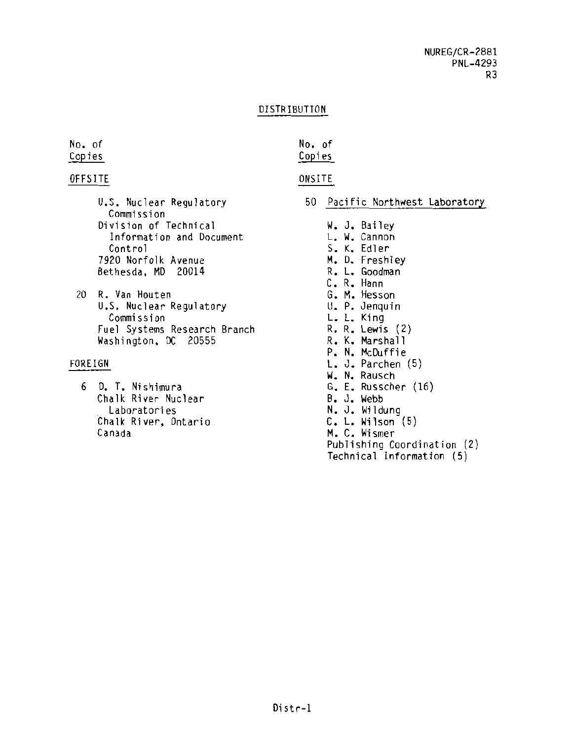## O!STR1BUT!ON

| No. of<br>Copies                                                                                                  | No. of<br>Copies                                                                                       |  |  |
|-------------------------------------------------------------------------------------------------------------------|--------------------------------------------------------------------------------------------------------|--|--|
| OFFSITE                                                                                                           | ONSITE                                                                                                 |  |  |
| U.S. Nuclear Regulatory<br>Commission<br>Division of Technical<br>Information and Document                        | 50 Pacific Northwest Laboratory<br>W. J. Bailey<br>L. W. Cannon                                        |  |  |
| Control<br>7920 Norfolk Avenue<br>Bethesda, MD 20014                                                              | S. K. Edler<br>M. D. Freshley<br>R. L. Goodman<br>C. R. Hann                                           |  |  |
| 20 R. Van Houten<br>U.S. Nuclear Regulatory<br>Commission<br>Fuel Systems Research Branch<br>Washington, DC 20555 | G. M. Hesson<br>U. P. Jenquin<br>L. L. King<br>$R. R.$ Lewis $(2)$<br>R. K. Marshall<br>P. N. McDuffie |  |  |
| FOREIGN                                                                                                           | $L. J.$ Parchen $(5)$<br>W. N. Rausch                                                                  |  |  |
| 6 D. T. Nishimura<br>Chalk River Nuclear<br>Laboratories                                                          | G. E. Russcher (16)<br>B. J. Webb<br>N. J. Wildung                                                     |  |  |

**Chalk River, Ontario** 

**Canada** 

C. L. Wilson (5) **M. C. Wismer** 

**Publishing Coordination (2)**  Technical Information (5)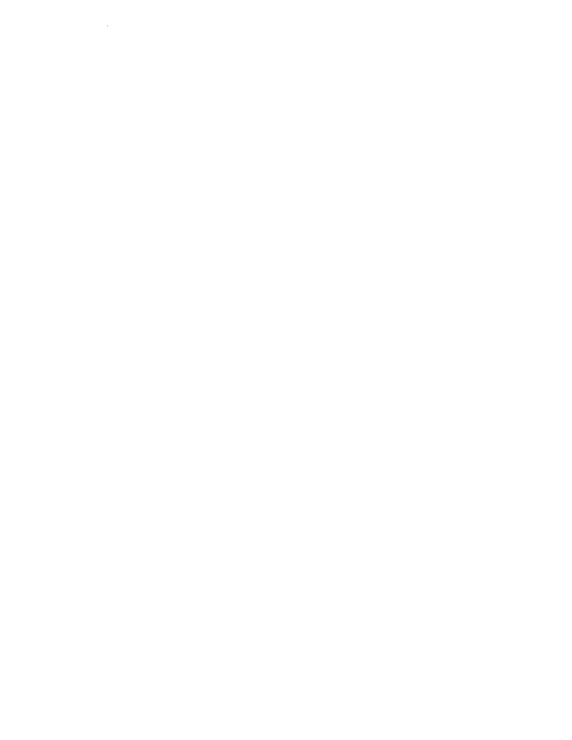$\mathcal{L}^{\text{max}}_{\text{max}}$  and  $\mathcal{L}^{\text{max}}_{\text{max}}$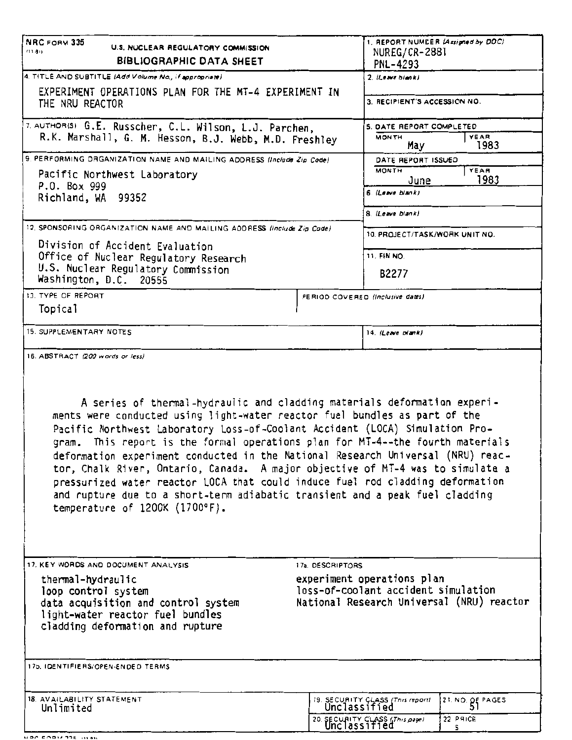| NRC FORM 335<br>(11.81)                                                  | U.S. NUCLEAR REGULATORY COMMISSION                                                                                                                                                                                                                                                                                                                                                                                                                                                                                                                                                                                                                                                                             |                                                                                                                | 1. REPORT NUMEER (Assigned by DOC)<br>NUREG/CR-2881 |                  |
|--------------------------------------------------------------------------|----------------------------------------------------------------------------------------------------------------------------------------------------------------------------------------------------------------------------------------------------------------------------------------------------------------------------------------------------------------------------------------------------------------------------------------------------------------------------------------------------------------------------------------------------------------------------------------------------------------------------------------------------------------------------------------------------------------|----------------------------------------------------------------------------------------------------------------|-----------------------------------------------------|------------------|
|                                                                          | <b>BIBLIOGRAPHIC DATA SHEET</b>                                                                                                                                                                                                                                                                                                                                                                                                                                                                                                                                                                                                                                                                                |                                                                                                                | <b>PNL-4293</b>                                     |                  |
|                                                                          | 4. TITLE AND SUBTITLE (Add Volume No., if appropriate)                                                                                                                                                                                                                                                                                                                                                                                                                                                                                                                                                                                                                                                         |                                                                                                                | 2. (Leave blank)                                    |                  |
| EXPERIMENT OPERATIONS PLAN FOR THE MT-4 EXPERIMENT IN<br>THE NRU REACTOR |                                                                                                                                                                                                                                                                                                                                                                                                                                                                                                                                                                                                                                                                                                                |                                                                                                                | 3. RECIPIENT'S ACCESSION NO.                        |                  |
|                                                                          | 7. AUTHORISI G.E. Russcher, C.L. Wilson, L.J. Parchen,                                                                                                                                                                                                                                                                                                                                                                                                                                                                                                                                                                                                                                                         |                                                                                                                | 5. DATE REPORT COMPLETED                            |                  |
|                                                                          | R.K. Marshall, G. M. Hesson, B.J. Webb, M.D. Freshley                                                                                                                                                                                                                                                                                                                                                                                                                                                                                                                                                                                                                                                          |                                                                                                                | <b>MONTH</b><br>May                                 | YEAR<br>1983     |
|                                                                          | 9. PERFORMING ORGANIZATION NAME AND MAILING ADDRESS (Include Zip Code)                                                                                                                                                                                                                                                                                                                                                                                                                                                                                                                                                                                                                                         |                                                                                                                | DATE REPORT ISSUED                                  |                  |
|                                                                          | Pacific Northwest Laboratory                                                                                                                                                                                                                                                                                                                                                                                                                                                                                                                                                                                                                                                                                   |                                                                                                                | <b>MONTH</b><br>June                                | YEAR<br>1983     |
| P.O. Box 999<br>Richland, WA 99352                                       |                                                                                                                                                                                                                                                                                                                                                                                                                                                                                                                                                                                                                                                                                                                |                                                                                                                | 6. (Leave blank)                                    |                  |
|                                                                          |                                                                                                                                                                                                                                                                                                                                                                                                                                                                                                                                                                                                                                                                                                                |                                                                                                                | 8. (Leave blank)                                    |                  |
|                                                                          | 12. SPONSORING ORGANIZATION NAME AND MAILING ADDRESS (Include Zip Cade)                                                                                                                                                                                                                                                                                                                                                                                                                                                                                                                                                                                                                                        |                                                                                                                |                                                     |                  |
|                                                                          | Division of Accident Evaluation                                                                                                                                                                                                                                                                                                                                                                                                                                                                                                                                                                                                                                                                                |                                                                                                                | 10. PROJECT/TASK/WORK UNIT NO.                      |                  |
|                                                                          | Office of Nuclear Regulatory Research                                                                                                                                                                                                                                                                                                                                                                                                                                                                                                                                                                                                                                                                          |                                                                                                                | 11. FIN NO.                                         |                  |
|                                                                          | U.S. Nuclear Regulatory Commission                                                                                                                                                                                                                                                                                                                                                                                                                                                                                                                                                                                                                                                                             |                                                                                                                | B2277                                               |                  |
|                                                                          | Washington, D.C. 20555                                                                                                                                                                                                                                                                                                                                                                                                                                                                                                                                                                                                                                                                                         |                                                                                                                |                                                     |                  |
| 13. TYPE OF REPORT                                                       |                                                                                                                                                                                                                                                                                                                                                                                                                                                                                                                                                                                                                                                                                                                |                                                                                                                | PERIOD COVERED (Inclusive dates)                    |                  |
| Topical                                                                  |                                                                                                                                                                                                                                                                                                                                                                                                                                                                                                                                                                                                                                                                                                                |                                                                                                                |                                                     |                  |
| 15. SUPPLEMENTARY NOTES                                                  |                                                                                                                                                                                                                                                                                                                                                                                                                                                                                                                                                                                                                                                                                                                |                                                                                                                | 14. (Leave plank)                                   |                  |
| 16. ABSTRACT (200 words or less)                                         |                                                                                                                                                                                                                                                                                                                                                                                                                                                                                                                                                                                                                                                                                                                |                                                                                                                |                                                     |                  |
|                                                                          | A series of thermal-hydraulic and cladding materials deformation experi-<br>ments were conducted using light-water reactor fuel bundles as part of the<br>Pacific Northwest Laboratory Loss-of-Coolant Accident (LOCA) Simulation Pro-<br>gram. This report is the formal operations plan for MT-4--the fourth materials<br>deformation experiment conducted in the National Research Universal (NRU) reac-<br>tor, Chalk River, Ontario, Canada. A major objective of MT-4 was to simulate a<br>pressurized water reactor LOCA that could induce fuel rod cladding deformation<br>and rupture due to a short-term adiabatic transient and a peak fuel cladding<br>temperature of $1200K$ ( $1700^{\circ}F$ ). |                                                                                                                |                                                     |                  |
|                                                                          | 17. KEY WORDS AND DOCUMENT ANALYSIS                                                                                                                                                                                                                                                                                                                                                                                                                                                                                                                                                                                                                                                                            | 17a. DESCRIPTORS                                                                                               |                                                     |                  |
| thermal-hydraulic<br>loop control system                                 | data acquisition and control system<br>light-water reactor fuel bundles<br>cladding deformation and rupture                                                                                                                                                                                                                                                                                                                                                                                                                                                                                                                                                                                                    | experiment operations plan<br>loss-of-coolant accident simulation<br>National Research Universal (NRU) reactor |                                                     |                  |
|                                                                          | 17b. IDENTIFIERS/OPEN-ENDED TERMS                                                                                                                                                                                                                                                                                                                                                                                                                                                                                                                                                                                                                                                                              |                                                                                                                |                                                     |                  |
| 18. AVAILABILITY STATEMENT                                               |                                                                                                                                                                                                                                                                                                                                                                                                                                                                                                                                                                                                                                                                                                                |                                                                                                                | 19. SECURITY CLASS (This report)                    | $21.00.95$ PAGES |
| Unlimited                                                                |                                                                                                                                                                                                                                                                                                                                                                                                                                                                                                                                                                                                                                                                                                                |                                                                                                                | 20. SECURITY CLASS (This page)                      | 22 PRICE         |
|                                                                          |                                                                                                                                                                                                                                                                                                                                                                                                                                                                                                                                                                                                                                                                                                                |                                                                                                                |                                                     | s                |